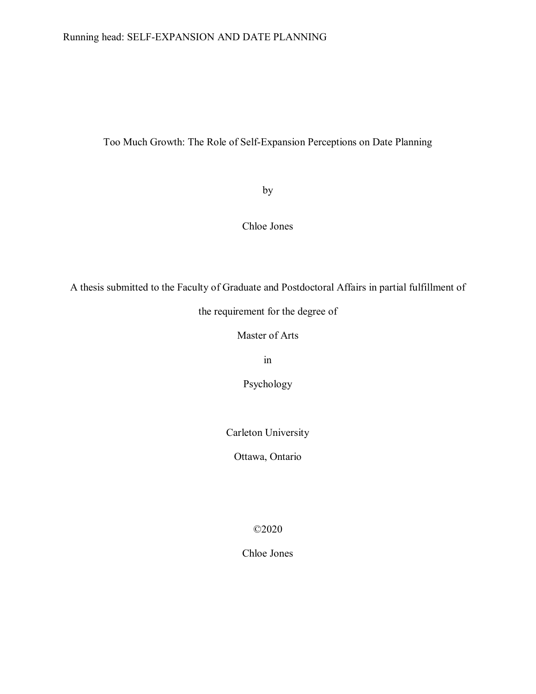# Too Much Growth: The Role of Self-Expansion Perceptions on Date Planning

by

Chloe Jones

A thesis submitted to the Faculty of Graduate and Postdoctoral Affairs in partial fulfillment of

the requirement for the degree of

Master of Arts

in

Psychology

Carleton University

Ottawa, Ontario

©2020

Chloe Jones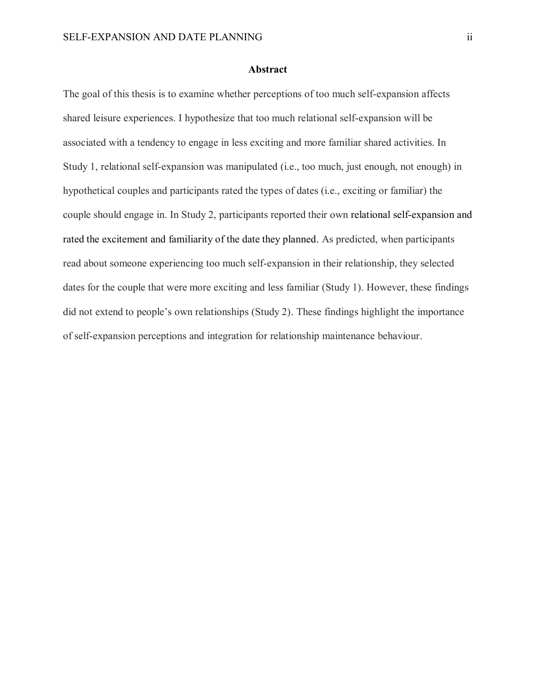## **Abstract**

The goal of this thesis is to examine whether perceptions of too much self-expansion affects shared leisure experiences. I hypothesize that too much relational self-expansion will be associated with a tendency to engage in less exciting and more familiar shared activities. In Study 1, relational self-expansion was manipulated (i.e., too much, just enough, not enough) in hypothetical couples and participants rated the types of dates (i.e., exciting or familiar) the couple should engage in. In Study 2, participants reported their own relational self-expansion and rated the excitement and familiarity of the date they planned. As predicted, when participants read about someone experiencing too much self-expansion in their relationship, they selected dates for the couple that were more exciting and less familiar (Study 1). However, these findings did not extend to people's own relationships (Study 2). These findings highlight the importance of self-expansion perceptions and integration for relationship maintenance behaviour.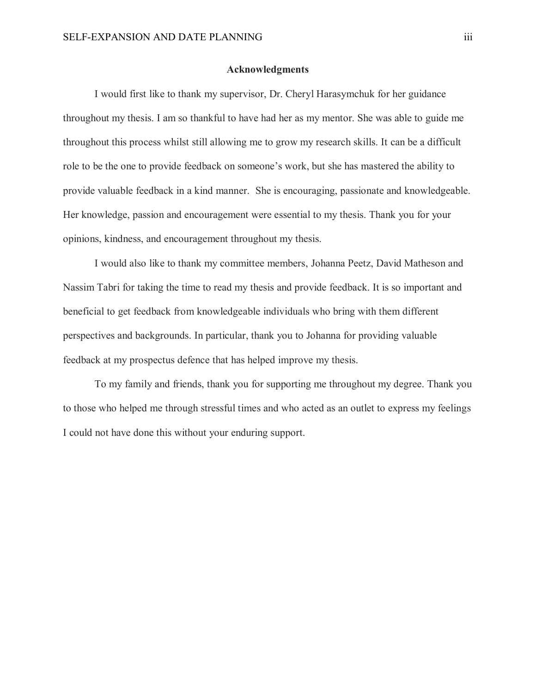# **Acknowledgments**

I would first like to thank my supervisor, Dr. Cheryl Harasymchuk for her guidance throughout my thesis. I am so thankful to have had her as my mentor. She was able to guide me throughout this process whilst still allowing me to grow my research skills. It can be a difficult role to be the one to provide feedback on someone's work, but she has mastered the ability to provide valuable feedback in a kind manner. She is encouraging, passionate and knowledgeable. Her knowledge, passion and encouragement were essential to my thesis. Thank you for your opinions, kindness, and encouragement throughout my thesis.

I would also like to thank my committee members, Johanna Peetz, David Matheson and Nassim Tabri for taking the time to read my thesis and provide feedback. It is so important and beneficial to get feedback from knowledgeable individuals who bring with them different perspectives and backgrounds. In particular, thank you to Johanna for providing valuable feedback at my prospectus defence that has helped improve my thesis.

To my family and friends, thank you for supporting me throughout my degree. Thank you to those who helped me through stressful times and who acted as an outlet to express my feelings I could not have done this without your enduring support.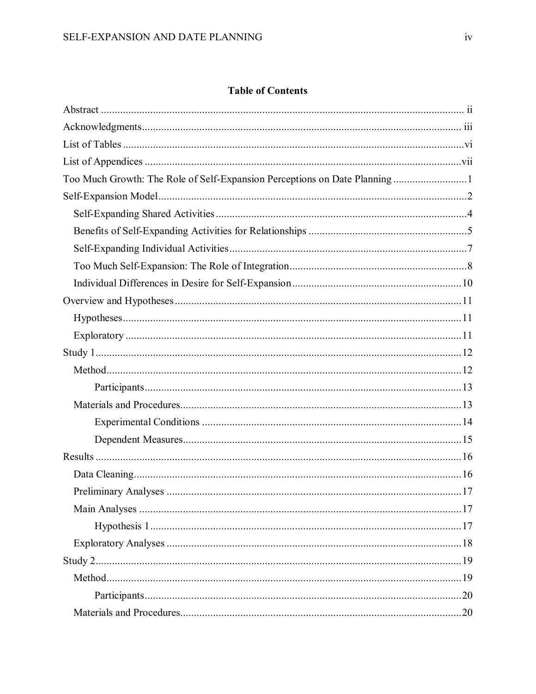# **Table of Contents**

| Too Much Growth: The Role of Self-Expansion Perceptions on Date Planning1 |  |
|---------------------------------------------------------------------------|--|
|                                                                           |  |
|                                                                           |  |
|                                                                           |  |
|                                                                           |  |
|                                                                           |  |
|                                                                           |  |
|                                                                           |  |
|                                                                           |  |
|                                                                           |  |
|                                                                           |  |
|                                                                           |  |
|                                                                           |  |
|                                                                           |  |
|                                                                           |  |
|                                                                           |  |
|                                                                           |  |
|                                                                           |  |
|                                                                           |  |
|                                                                           |  |
|                                                                           |  |
|                                                                           |  |
|                                                                           |  |
|                                                                           |  |
|                                                                           |  |
|                                                                           |  |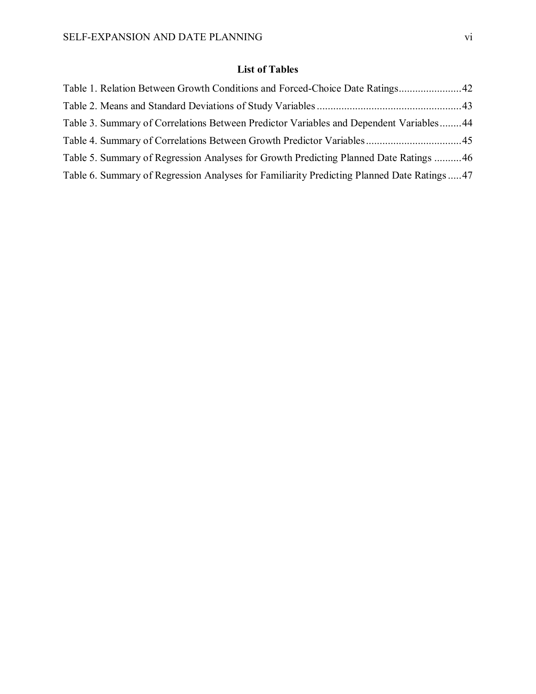# **List of Tables**

| Table 1. Relation Between Growth Conditions and Forced-Choice Date Ratings42              |  |
|-------------------------------------------------------------------------------------------|--|
|                                                                                           |  |
| Table 3. Summary of Correlations Between Predictor Variables and Dependent Variables44    |  |
| Table 4. Summary of Correlations Between Growth Predictor Variables45                     |  |
| Table 5. Summary of Regression Analyses for Growth Predicting Planned Date Ratings 46     |  |
| Table 6. Summary of Regression Analyses for Familiarity Predicting Planned Date Ratings47 |  |
|                                                                                           |  |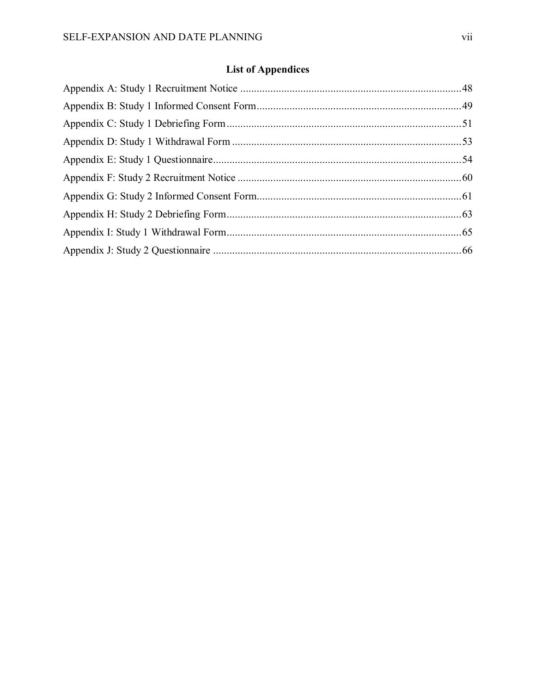# **List of Appendices**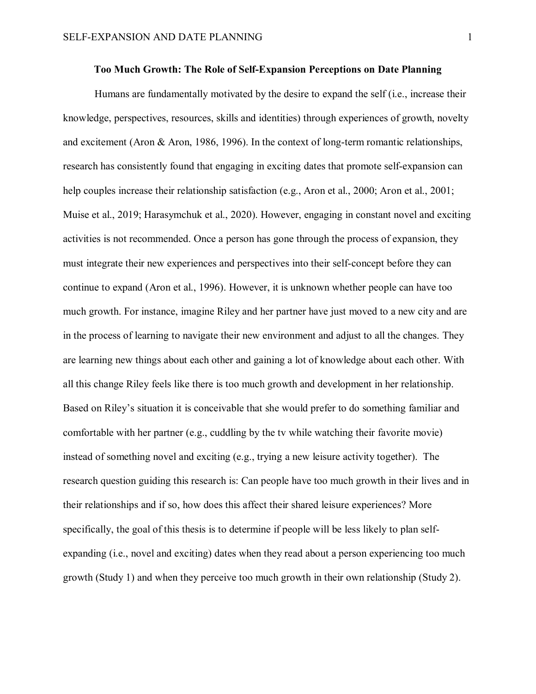# **Too Much Growth: The Role of Self-Expansion Perceptions on Date Planning**

Humans are fundamentally motivated by the desire to expand the self (i.e., increase their knowledge, perspectives, resources, skills and identities) through experiences of growth, novelty and excitement (Aron & Aron, 1986, 1996). In the context of long-term romantic relationships, research has consistently found that engaging in exciting dates that promote self-expansion can help couples increase their relationship satisfaction (e.g., Aron et al., 2000; Aron et al., 2001; Muise et al., 2019; Harasymchuk et al., 2020). However, engaging in constant novel and exciting activities is not recommended. Once a person has gone through the process of expansion, they must integrate their new experiences and perspectives into their self-concept before they can continue to expand (Aron et al., 1996). However, it is unknown whether people can have too much growth. For instance, imagine Riley and her partner have just moved to a new city and are in the process of learning to navigate their new environment and adjust to all the changes. They are learning new things about each other and gaining a lot of knowledge about each other. With all this change Riley feels like there is too much growth and development in her relationship. Based on Riley's situation it is conceivable that she would prefer to do something familiar and comfortable with her partner (e.g., cuddling by the tv while watching their favorite movie) instead of something novel and exciting (e.g., trying a new leisure activity together). The research question guiding this research is: Can people have too much growth in their lives and in their relationships and if so, how does this affect their shared leisure experiences? More specifically, the goal of this thesis is to determine if people will be less likely to plan selfexpanding (i.e., novel and exciting) dates when they read about a person experiencing too much growth (Study 1) and when they perceive too much growth in their own relationship (Study 2).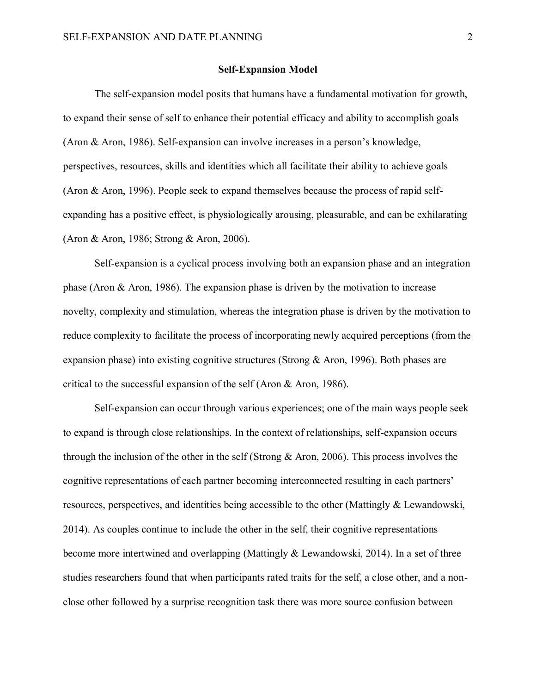#### **Self-Expansion Model**

The self-expansion model posits that humans have a fundamental motivation for growth, to expand their sense of self to enhance their potential efficacy and ability to accomplish goals (Aron & Aron, 1986). Self-expansion can involve increases in a person's knowledge, perspectives, resources, skills and identities which all facilitate their ability to achieve goals (Aron & Aron, 1996). People seek to expand themselves because the process of rapid selfexpanding has a positive effect, is physiologically arousing, pleasurable, and can be exhilarating (Aron & Aron, 1986; Strong & Aron, 2006).

Self-expansion is a cyclical process involving both an expansion phase and an integration phase (Aron & Aron, 1986). The expansion phase is driven by the motivation to increase novelty, complexity and stimulation, whereas the integration phase is driven by the motivation to reduce complexity to facilitate the process of incorporating newly acquired perceptions (from the expansion phase) into existing cognitive structures (Strong & Aron, 1996). Both phases are critical to the successful expansion of the self (Aron & Aron, 1986).

Self-expansion can occur through various experiences; one of the main ways people seek to expand is through close relationships. In the context of relationships, self-expansion occurs through the inclusion of the other in the self (Strong & Aron, 2006). This process involves the cognitive representations of each partner becoming interconnected resulting in each partners' resources, perspectives, and identities being accessible to the other (Mattingly & Lewandowski, 2014). As couples continue to include the other in the self, their cognitive representations become more intertwined and overlapping (Mattingly & Lewandowski, 2014). In a set of three studies researchers found that when participants rated traits for the self, a close other, and a nonclose other followed by a surprise recognition task there was more source confusion between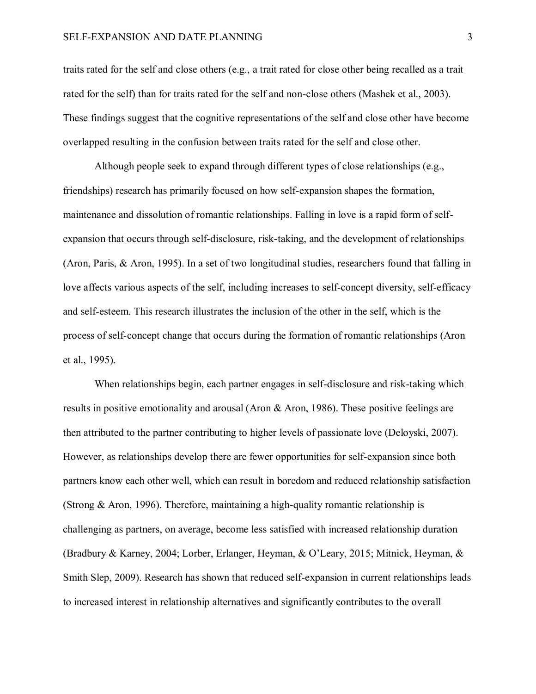traits rated for the self and close others (e.g., a trait rated for close other being recalled as a trait rated for the self) than for traits rated for the self and non-close others (Mashek et al., 2003). These findings suggest that the cognitive representations of the self and close other have become overlapped resulting in the confusion between traits rated for the self and close other.

Although people seek to expand through different types of close relationships (e.g., friendships) research has primarily focused on how self-expansion shapes the formation, maintenance and dissolution of romantic relationships. Falling in love is a rapid form of selfexpansion that occurs through self-disclosure, risk-taking, and the development of relationships (Aron, Paris, & Aron, 1995). In a set of two longitudinal studies, researchers found that falling in love affects various aspects of the self, including increases to self-concept diversity, self-efficacy and self-esteem. This research illustrates the inclusion of the other in the self, which is the process of self-concept change that occurs during the formation of romantic relationships (Aron et al., 1995).

When relationships begin, each partner engages in self-disclosure and risk-taking which results in positive emotionality and arousal (Aron & Aron, 1986). These positive feelings are then attributed to the partner contributing to higher levels of passionate love (Deloyski, 2007). However, as relationships develop there are fewer opportunities for self-expansion since both partners know each other well, which can result in boredom and reduced relationship satisfaction (Strong & Aron, 1996). Therefore, maintaining a high-quality romantic relationship is challenging as partners, on average, become less satisfied with increased relationship duration (Bradbury & Karney, 2004; Lorber, Erlanger, Heyman, & O'Leary, 2015; Mitnick, Heyman, & Smith Slep, 2009). Research has shown that reduced self-expansion in current relationships leads to increased interest in relationship alternatives and significantly contributes to the overall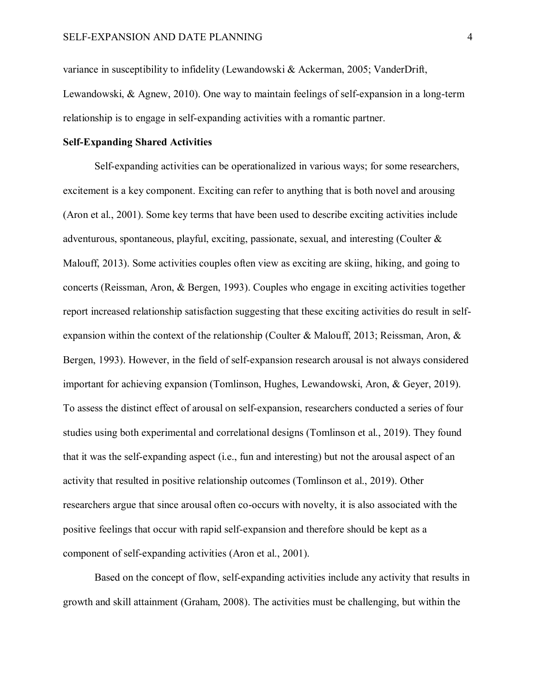variance in susceptibility to infidelity (Lewandowski & Ackerman, 2005; VanderDrift, Lewandowski, & Agnew, 2010). One way to maintain feelings of self-expansion in a long-term relationship is to engage in self-expanding activities with a romantic partner.

# **Self-Expanding Shared Activities**

Self-expanding activities can be operationalized in various ways; for some researchers, excitement is a key component. Exciting can refer to anything that is both novel and arousing (Aron et al., 2001). Some key terms that have been used to describe exciting activities include adventurous, spontaneous, playful, exciting, passionate, sexual, and interesting (Coulter & Malouff, 2013). Some activities couples often view as exciting are skiing, hiking, and going to concerts (Reissman, Aron, & Bergen, 1993). Couples who engage in exciting activities together report increased relationship satisfaction suggesting that these exciting activities do result in selfexpansion within the context of the relationship (Coulter & Malouff, 2013; Reissman, Aron, & Bergen, 1993). However, in the field of self-expansion research arousal is not always considered important for achieving expansion (Tomlinson, Hughes, Lewandowski, Aron, & Geyer, 2019). To assess the distinct effect of arousal on self-expansion, researchers conducted a series of four studies using both experimental and correlational designs (Tomlinson et al., 2019). They found that it was the self-expanding aspect (i.e., fun and interesting) but not the arousal aspect of an activity that resulted in positive relationship outcomes (Tomlinson et al., 2019). Other researchers argue that since arousal often co-occurs with novelty, it is also associated with the positive feelings that occur with rapid self-expansion and therefore should be kept as a component of self-expanding activities (Aron et al., 2001).

Based on the concept of flow, self-expanding activities include any activity that results in growth and skill attainment (Graham, 2008). The activities must be challenging, but within the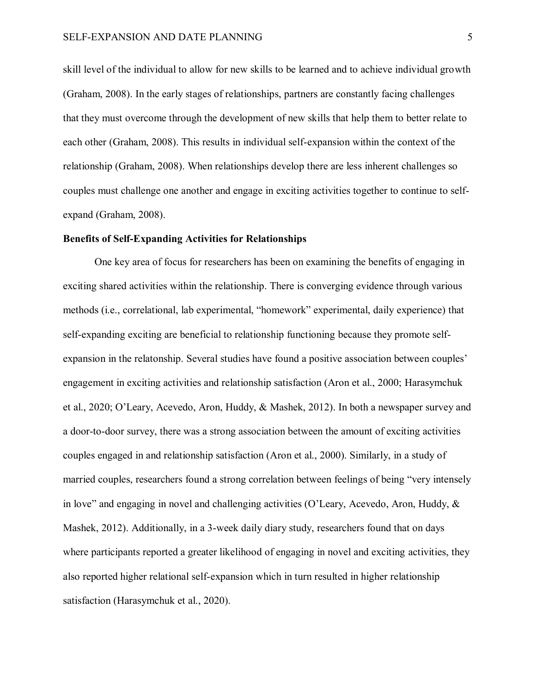skill level of the individual to allow for new skills to be learned and to achieve individual growth (Graham, 2008). In the early stages of relationships, partners are constantly facing challenges that they must overcome through the development of new skills that help them to better relate to each other (Graham, 2008). This results in individual self-expansion within the context of the relationship (Graham, 2008). When relationships develop there are less inherent challenges so couples must challenge one another and engage in exciting activities together to continue to selfexpand (Graham, 2008).

# **Benefits of Self-Expanding Activities for Relationships**

One key area of focus for researchers has been on examining the benefits of engaging in exciting shared activities within the relationship. There is converging evidence through various methods (i.e., correlational, lab experimental, "homework" experimental, daily experience) that self-expanding exciting are beneficial to relationship functioning because they promote selfexpansion in the relatonship. Several studies have found a positive association between couples' engagement in exciting activities and relationship satisfaction (Aron et al., 2000; Harasymchuk et al., 2020; O'Leary, Acevedo, Aron, Huddy, & Mashek, 2012). In both a newspaper survey and a door-to-door survey, there was a strong association between the amount of exciting activities couples engaged in and relationship satisfaction (Aron et al., 2000). Similarly, in a study of married couples, researchers found a strong correlation between feelings of being "very intensely in love" and engaging in novel and challenging activities (O'Leary, Acevedo, Aron, Huddy, & Mashek, 2012). Additionally, in a 3-week daily diary study, researchers found that on days where participants reported a greater likelihood of engaging in novel and exciting activities, they also reported higher relational self-expansion which in turn resulted in higher relationship satisfaction (Harasymchuk et al., 2020).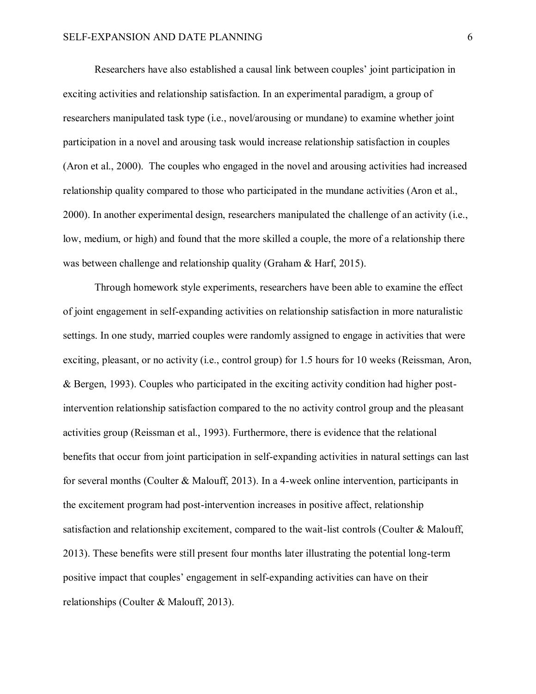Researchers have also established a causal link between couples' joint participation in exciting activities and relationship satisfaction. In an experimental paradigm, a group of researchers manipulated task type (i.e., novel/arousing or mundane) to examine whether joint participation in a novel and arousing task would increase relationship satisfaction in couples (Aron et al., 2000). The couples who engaged in the novel and arousing activities had increased relationship quality compared to those who participated in the mundane activities (Aron et al., 2000). In another experimental design, researchers manipulated the challenge of an activity (i.e., low, medium, or high) and found that the more skilled a couple, the more of a relationship there was between challenge and relationship quality (Graham & Harf, 2015).

Through homework style experiments, researchers have been able to examine the effect of joint engagement in self-expanding activities on relationship satisfaction in more naturalistic settings. In one study, married couples were randomly assigned to engage in activities that were exciting, pleasant, or no activity (i.e., control group) for 1.5 hours for 10 weeks (Reissman, Aron, & Bergen, 1993). Couples who participated in the exciting activity condition had higher postintervention relationship satisfaction compared to the no activity control group and the pleasant activities group (Reissman et al., 1993). Furthermore, there is evidence that the relational benefits that occur from joint participation in self-expanding activities in natural settings can last for several months (Coulter & Malouff, 2013). In a 4-week online intervention, participants in the excitement program had post-intervention increases in positive affect, relationship satisfaction and relationship excitement, compared to the wait-list controls (Coulter & Malouff, 2013). These benefits were still present four months later illustrating the potential long-term positive impact that couples' engagement in self-expanding activities can have on their relationships (Coulter & Malouff, 2013).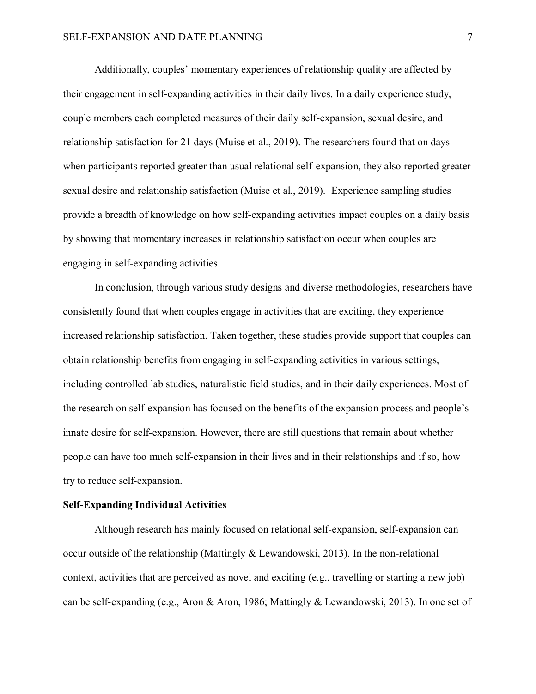Additionally, couples' momentary experiences of relationship quality are affected by their engagement in self-expanding activities in their daily lives. In a daily experience study, couple members each completed measures of their daily self-expansion, sexual desire, and relationship satisfaction for 21 days (Muise et al., 2019). The researchers found that on days when participants reported greater than usual relational self-expansion, they also reported greater sexual desire and relationship satisfaction (Muise et al., 2019). Experience sampling studies provide a breadth of knowledge on how self-expanding activities impact couples on a daily basis by showing that momentary increases in relationship satisfaction occur when couples are engaging in self-expanding activities.

In conclusion, through various study designs and diverse methodologies, researchers have consistently found that when couples engage in activities that are exciting, they experience increased relationship satisfaction. Taken together, these studies provide support that couples can obtain relationship benefits from engaging in self-expanding activities in various settings, including controlled lab studies, naturalistic field studies, and in their daily experiences. Most of the research on self-expansion has focused on the benefits of the expansion process and people's innate desire for self-expansion. However, there are still questions that remain about whether people can have too much self-expansion in their lives and in their relationships and if so, how try to reduce self-expansion.

# **Self-Expanding Individual Activities**

Although research has mainly focused on relational self-expansion, self-expansion can occur outside of the relationship (Mattingly & Lewandowski, 2013). In the non-relational context, activities that are perceived as novel and exciting (e.g., travelling or starting a new job) can be self-expanding (e.g., Aron & Aron, 1986; Mattingly & Lewandowski, 2013). In one set of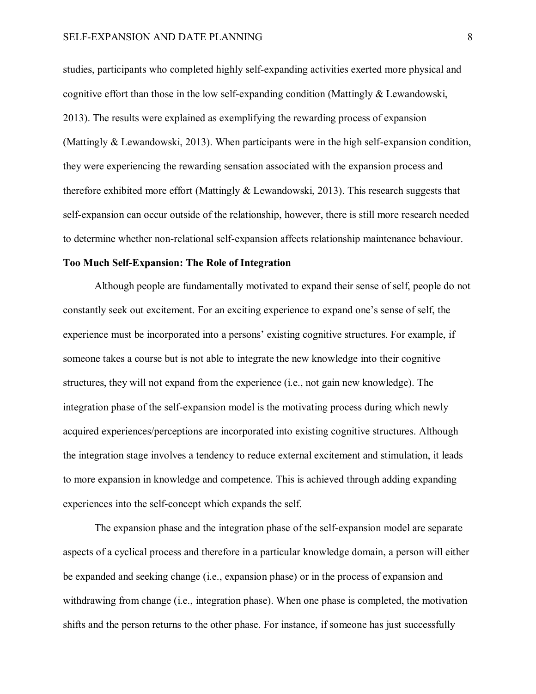studies, participants who completed highly self-expanding activities exerted more physical and cognitive effort than those in the low self-expanding condition (Mattingly & Lewandowski, 2013). The results were explained as exemplifying the rewarding process of expansion (Mattingly & Lewandowski, 2013). When participants were in the high self-expansion condition, they were experiencing the rewarding sensation associated with the expansion process and therefore exhibited more effort (Mattingly & Lewandowski, 2013). This research suggests that self-expansion can occur outside of the relationship, however, there is still more research needed to determine whether non-relational self-expansion affects relationship maintenance behaviour.

# **Too Much Self-Expansion: The Role of Integration**

Although people are fundamentally motivated to expand their sense of self, people do not constantly seek out excitement. For an exciting experience to expand one's sense of self, the experience must be incorporated into a persons' existing cognitive structures. For example, if someone takes a course but is not able to integrate the new knowledge into their cognitive structures, they will not expand from the experience (i.e., not gain new knowledge). The integration phase of the self-expansion model is the motivating process during which newly acquired experiences/perceptions are incorporated into existing cognitive structures. Although the integration stage involves a tendency to reduce external excitement and stimulation, it leads to more expansion in knowledge and competence. This is achieved through adding expanding experiences into the self-concept which expands the self.

The expansion phase and the integration phase of the self-expansion model are separate aspects of a cyclical process and therefore in a particular knowledge domain, a person will either be expanded and seeking change (i.e., expansion phase) or in the process of expansion and withdrawing from change (i.e., integration phase). When one phase is completed, the motivation shifts and the person returns to the other phase. For instance, if someone has just successfully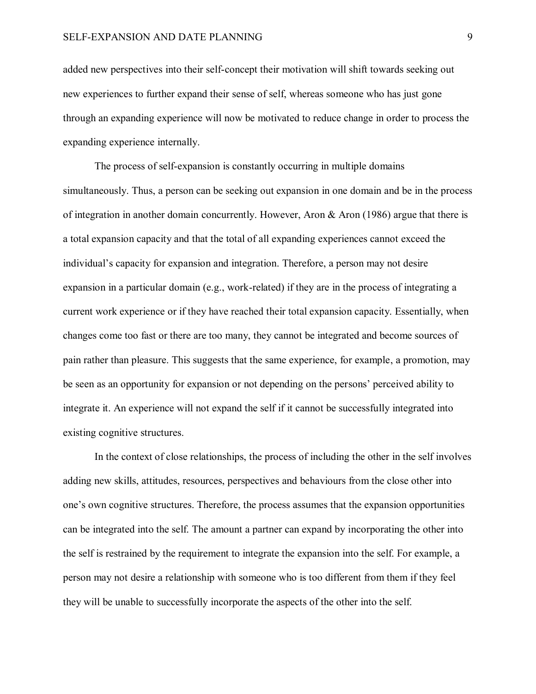added new perspectives into their self-concept their motivation will shift towards seeking out new experiences to further expand their sense of self, whereas someone who has just gone through an expanding experience will now be motivated to reduce change in order to process the expanding experience internally.

The process of self-expansion is constantly occurring in multiple domains simultaneously. Thus, a person can be seeking out expansion in one domain and be in the process of integration in another domain concurrently. However, Aron & Aron (1986) argue that there is a total expansion capacity and that the total of all expanding experiences cannot exceed the individual's capacity for expansion and integration. Therefore, a person may not desire expansion in a particular domain (e.g., work-related) if they are in the process of integrating a current work experience or if they have reached their total expansion capacity. Essentially, when changes come too fast or there are too many, they cannot be integrated and become sources of pain rather than pleasure. This suggests that the same experience, for example, a promotion, may be seen as an opportunity for expansion or not depending on the persons' perceived ability to integrate it. An experience will not expand the self if it cannot be successfully integrated into existing cognitive structures.

In the context of close relationships, the process of including the other in the self involves adding new skills, attitudes, resources, perspectives and behaviours from the close other into one's own cognitive structures. Therefore, the process assumes that the expansion opportunities can be integrated into the self. The amount a partner can expand by incorporating the other into the self is restrained by the requirement to integrate the expansion into the self. For example, a person may not desire a relationship with someone who is too different from them if they feel they will be unable to successfully incorporate the aspects of the other into the self.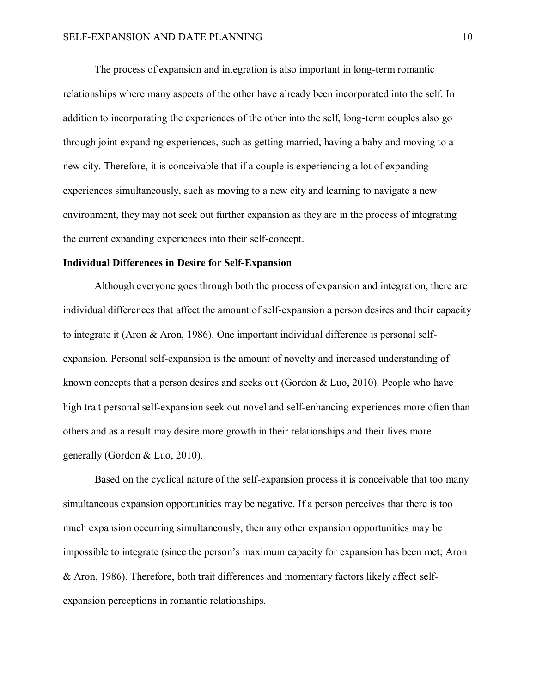The process of expansion and integration is also important in long-term romantic relationships where many aspects of the other have already been incorporated into the self. In addition to incorporating the experiences of the other into the self, long-term couples also go through joint expanding experiences, such as getting married, having a baby and moving to a new city. Therefore, it is conceivable that if a couple is experiencing a lot of expanding experiences simultaneously, such as moving to a new city and learning to navigate a new environment, they may not seek out further expansion as they are in the process of integrating the current expanding experiences into their self-concept.

# **Individual Differences in Desire for Self-Expansion**

Although everyone goes through both the process of expansion and integration, there are individual differences that affect the amount of self-expansion a person desires and their capacity to integrate it (Aron & Aron, 1986). One important individual difference is personal selfexpansion. Personal self-expansion is the amount of novelty and increased understanding of known concepts that a person desires and seeks out (Gordon & Luo, 2010). People who have high trait personal self-expansion seek out novel and self-enhancing experiences more often than others and as a result may desire more growth in their relationships and their lives more generally (Gordon & Luo, 2010).

Based on the cyclical nature of the self-expansion process it is conceivable that too many simultaneous expansion opportunities may be negative. If a person perceives that there is too much expansion occurring simultaneously, then any other expansion opportunities may be impossible to integrate (since the person's maximum capacity for expansion has been met; Aron & Aron, 1986). Therefore, both trait differences and momentary factors likely affect selfexpansion perceptions in romantic relationships.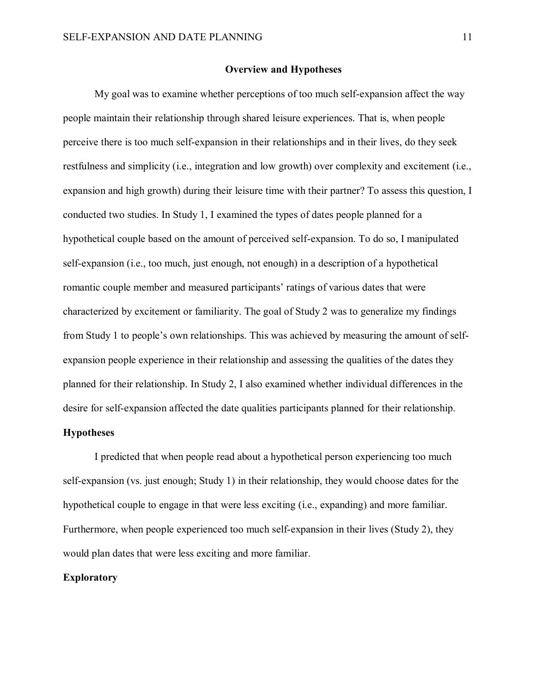# **Overview and Hypotheses**

My goal was to examine whether perceptions of too much self-expansion affect the way people maintain their relationship through shared leisure experiences. That is, when people perceive there is too much self-expansion in their relationships and in their lives, do they seek restfulness and simplicity (i.e., integration and low growth) over complexity and excitement (i.e., expansion and high growth) during their leisure time with their partner? To assess this question, I conducted two studies. In Study 1, I examined the types of dates people planned for a hypothetical couple based on the amount of perceived self-expansion. To do so, I manipulated self-expansion (i.e., too much, just enough, not enough) in a description of a hypothetical romantic couple member and measured participants' ratings of various dates that were characterized by excitement or familiarity. The goal of Study 2 was to generalize my findings from Study 1 to people's own relationships. This was achieved by measuring the amount of selfexpansion people experience in their relationship and assessing the qualities of the dates they planned for their relationship. In Study 2, I also examined whether individual differences in the desire for self-expansion affected the date qualities participants planned for their relationship.

# **Hypotheses**

I predicted that when people read about a hypothetical person experiencing too much self-expansion (vs. just enough; Study 1) in their relationship, they would choose dates for the hypothetical couple to engage in that were less exciting (i.e., expanding) and more familiar. Furthermore, when people experienced too much self-expansion in their lives (Study 2), they would plan dates that were less exciting and more familiar.

# **Exploratory**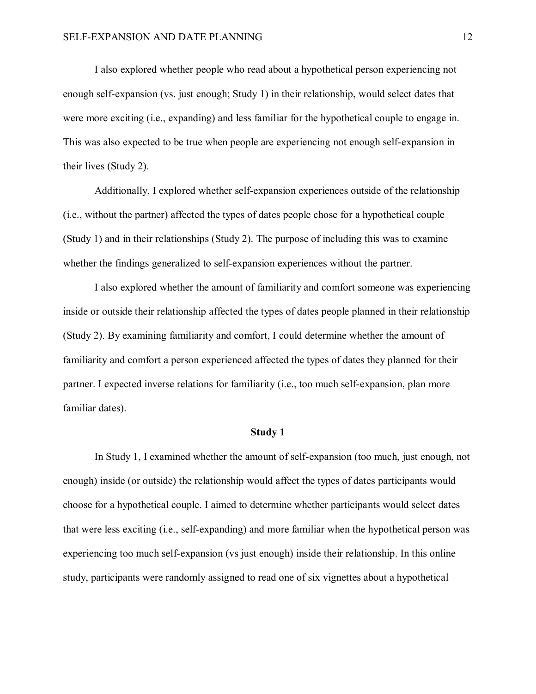I also explored whether people who read about a hypothetical person experiencing not enough self-expansion (vs. just enough; Study 1) in their relationship, would select dates that were more exciting (i.e., expanding) and less familiar for the hypothetical couple to engage in. This was also expected to be true when people are experiencing not enough self-expansion in their lives (Study 2).

Additionally, I explored whether self-expansion experiences outside of the relationship (i.e., without the partner) affected the types of dates people chose for a hypothetical couple (Study 1) and in their relationships (Study 2). The purpose of including this was to examine whether the findings generalized to self-expansion experiences without the partner.

I also explored whether the amount of familiarity and comfort someone was experiencing inside or outside their relationship affected the types of dates people planned in their relationship (Study 2). By examining familiarity and comfort, I could determine whether the amount of familiarity and comfort a person experienced affected the types of dates they planned for their partner. I expected inverse relations for familiarity (i.e., too much self-expansion, plan more familiar dates).

#### **Study 1**

In Study 1, I examined whether the amount of self-expansion (too much, just enough, not enough) inside (or outside) the relationship would affect the types of dates participants would choose for a hypothetical couple. I aimed to determine whether participants would select dates that were less exciting (i.e., self-expanding) and more familiar when the hypothetical person was experiencing too much self-expansion (vs just enough) inside their relationship. In this online study, participants were randomly assigned to read one of six vignettes about a hypothetical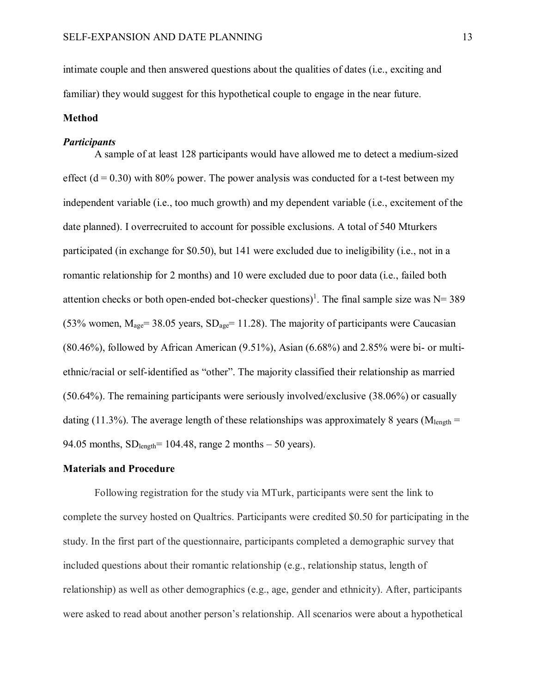intimate couple and then answered questions about the qualities of dates (i.e., exciting and familiar) they would suggest for this hypothetical couple to engage in the near future.

# **Method**

#### *Participants*

A sample of at least 128 participants would have allowed me to detect a medium-sized effect  $(d = 0.30)$  with 80% power. The power analysis was conducted for a t-test between my independent variable (i.e., too much growth) and my dependent variable (i.e., excitement of the date planned). I overrecruited to account for possible exclusions. A total of 540 Mturkers participated (in exchange for \$0.50), but 141 were excluded due to ineligibility (i.e., not in a romantic relationship for 2 months) and 10 were excluded due to poor data (i.e., failed both attention checks or both open-ended bot-checker questions)<sup>1</sup>. The final sample size was  $N=389$ (53% women,  $M_{\text{age}}$  = 38.05 years,  $SD_{\text{age}}$  = 11.28). The majority of participants were Caucasian (80.46%), followed by African American (9.51%), Asian (6.68%) and 2.85% were bi- or multiethnic/racial or self-identified as "other". The majority classified their relationship as married (50.64%). The remaining participants were seriously involved/exclusive (38.06%) or casually dating (11.3%). The average length of these relationships was approximately 8 years ( $M_{\text{length}} =$ 94.05 months,  $SD_{length}$  = 104.48, range 2 months – 50 years).

# **Materials and Procedure**

Following registration for the study via MTurk, participants were sent the link to complete the survey hosted on Qualtrics. Participants were credited \$0.50 for participating in the study. In the first part of the questionnaire, participants completed a demographic survey that included questions about their romantic relationship (e.g., relationship status, length of relationship) as well as other demographics (e.g., age, gender and ethnicity). After, participants were asked to read about another person's relationship. All scenarios were about a hypothetical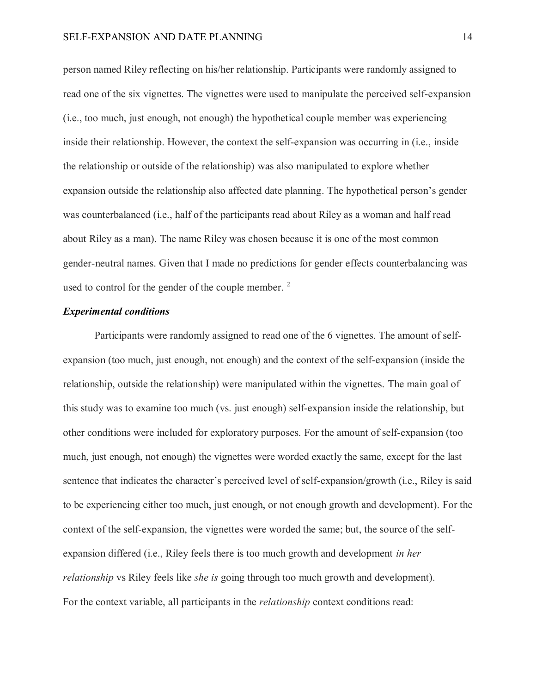person named Riley reflecting on his/her relationship. Participants were randomly assigned to read one of the six vignettes. The vignettes were used to manipulate the perceived self-expansion (i.e., too much, just enough, not enough) the hypothetical couple member was experiencing inside their relationship. However, the context the self-expansion was occurring in (i.e., inside the relationship or outside of the relationship) was also manipulated to explore whether expansion outside the relationship also affected date planning. The hypothetical person's gender was counterbalanced (i.e., half of the participants read about Riley as a woman and half read about Riley as a man). The name Riley was chosen because it is one of the most common gender-neutral names. Given that I made no predictions for gender effects counterbalancing was used to control for the gender of the couple member.<sup>2</sup>

# *Experimental conditions*

Participants were randomly assigned to read one of the 6 vignettes. The amount of selfexpansion (too much, just enough, not enough) and the context of the self-expansion (inside the relationship, outside the relationship) were manipulated within the vignettes. The main goal of this study was to examine too much (vs. just enough) self-expansion inside the relationship, but other conditions were included for exploratory purposes. For the amount of self-expansion (too much, just enough, not enough) the vignettes were worded exactly the same, except for the last sentence that indicates the character's perceived level of self-expansion/growth (i.e., Riley is said to be experiencing either too much, just enough, or not enough growth and development). For the context of the self-expansion, the vignettes were worded the same; but, the source of the selfexpansion differed (i.e., Riley feels there is too much growth and development *in her relationship* vs Riley feels like *she is* going through too much growth and development). For the context variable, all participants in the *relationship* context conditions read: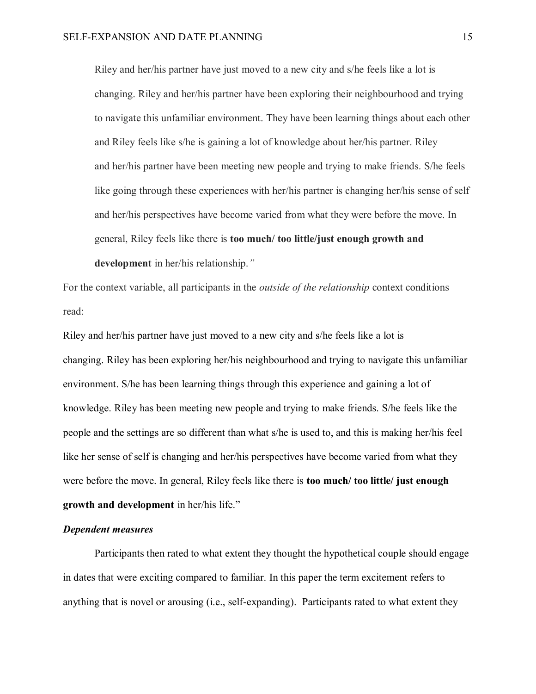Riley and her/his partner have just moved to a new city and s/he feels like a lot is changing. Riley and her/his partner have been exploring their neighbourhood and trying to navigate this unfamiliar environment. They have been learning things about each other and Riley feels like s/he is gaining a lot of knowledge about her/his partner. Riley and her/his partner have been meeting new people and trying to make friends. S/he feels like going through these experiences with her/his partner is changing her/his sense of self and her/his perspectives have become varied from what they were before the move. In general, Riley feels like there is **too much/ too little/just enough growth and development** in her/his relationship.*"*

For the context variable, all participants in the *outside of the relationship* context conditions read:

Riley and her/his partner have just moved to a new city and s/he feels like a lot is changing. Riley has been exploring her/his neighbourhood and trying to navigate this unfamiliar environment. S/he has been learning things through this experience and gaining a lot of knowledge. Riley has been meeting new people and trying to make friends. S/he feels like the people and the settings are so different than what s/he is used to, and this is making her/his feel like her sense of self is changing and her/his perspectives have become varied from what they were before the move. In general, Riley feels like there is **too much/ too little/ just enough growth and development** in her/his life."

#### *Dependent measures*

Participants then rated to what extent they thought the hypothetical couple should engage in dates that were exciting compared to familiar. In this paper the term excitement refers to anything that is novel or arousing (i.e., self-expanding). Participants rated to what extent they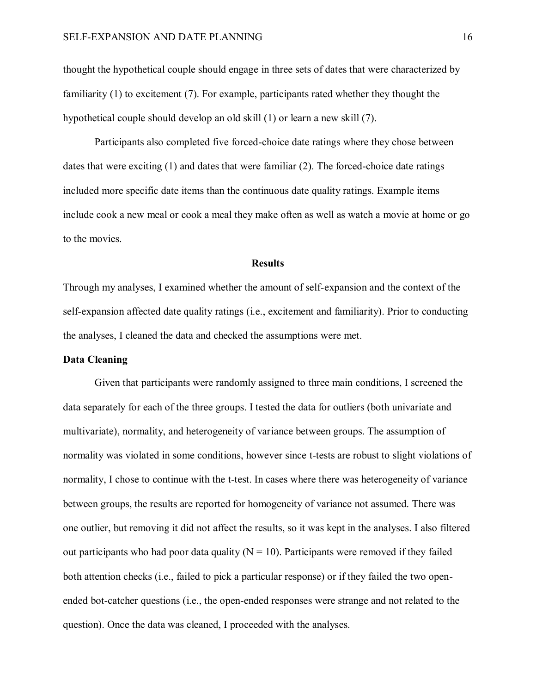thought the hypothetical couple should engage in three sets of dates that were characterized by familiarity (1) to excitement (7). For example, participants rated whether they thought the hypothetical couple should develop an old skill (1) or learn a new skill (7).

Participants also completed five forced-choice date ratings where they chose between dates that were exciting (1) and dates that were familiar (2). The forced-choice date ratings included more specific date items than the continuous date quality ratings. Example items include cook a new meal or cook a meal they make often as well as watch a movie at home or go to the movies.

# **Results**

Through my analyses, I examined whether the amount of self-expansion and the context of the self-expansion affected date quality ratings (i.e., excitement and familiarity). Prior to conducting the analyses, I cleaned the data and checked the assumptions were met.

# **Data Cleaning**

Given that participants were randomly assigned to three main conditions, I screened the data separately for each of the three groups. I tested the data for outliers (both univariate and multivariate), normality, and heterogeneity of variance between groups. The assumption of normality was violated in some conditions, however since t-tests are robust to slight violations of normality, I chose to continue with the t-test. In cases where there was heterogeneity of variance between groups, the results are reported for homogeneity of variance not assumed. There was one outlier, but removing it did not affect the results, so it was kept in the analyses. I also filtered out participants who had poor data quality ( $N = 10$ ). Participants were removed if they failed both attention checks (i.e., failed to pick a particular response) or if they failed the two openended bot-catcher questions (i.e., the open-ended responses were strange and not related to the question). Once the data was cleaned, I proceeded with the analyses.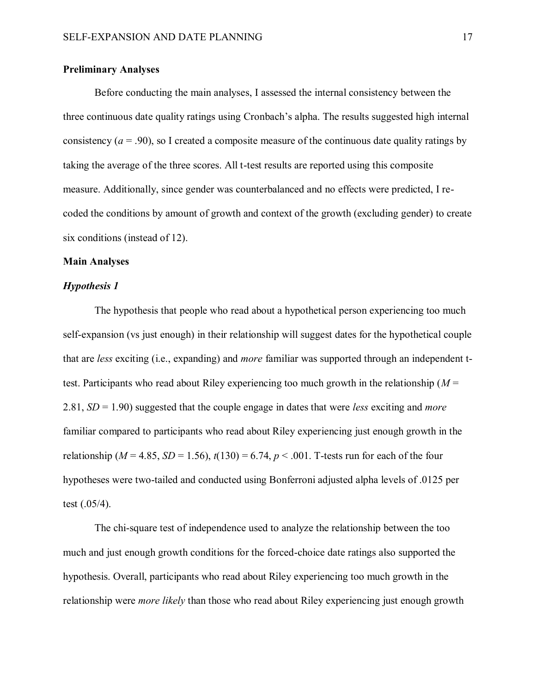# **Preliminary Analyses**

Before conducting the main analyses, I assessed the internal consistency between the three continuous date quality ratings using Cronbach's alpha. The results suggested high internal consistency  $(a = .90)$ , so I created a composite measure of the continuous date quality ratings by taking the average of the three scores. All t-test results are reported using this composite measure. Additionally, since gender was counterbalanced and no effects were predicted, I recoded the conditions by amount of growth and context of the growth (excluding gender) to create six conditions (instead of 12).

# **Main Analyses**

# *Hypothesis 1*

The hypothesis that people who read about a hypothetical person experiencing too much self-expansion (vs just enough) in their relationship will suggest dates for the hypothetical couple that are *less* exciting (i.e., expanding) and *more* familiar was supported through an independent ttest. Participants who read about Riley experiencing too much growth in the relationship (*M* = 2.81, *SD* = 1.90) suggested that the couple engage in dates that were *less* exciting and *more* familiar compared to participants who read about Riley experiencing just enough growth in the relationship ( $M = 4.85$ ,  $SD = 1.56$ ),  $t(130) = 6.74$ ,  $p < .001$ . T-tests run for each of the four hypotheses were two-tailed and conducted using Bonferroni adjusted alpha levels of .0125 per test (.05/4).

The chi-square test of independence used to analyze the relationship between the too much and just enough growth conditions for the forced-choice date ratings also supported the hypothesis. Overall, participants who read about Riley experiencing too much growth in the relationship were *more likely* than those who read about Riley experiencing just enough growth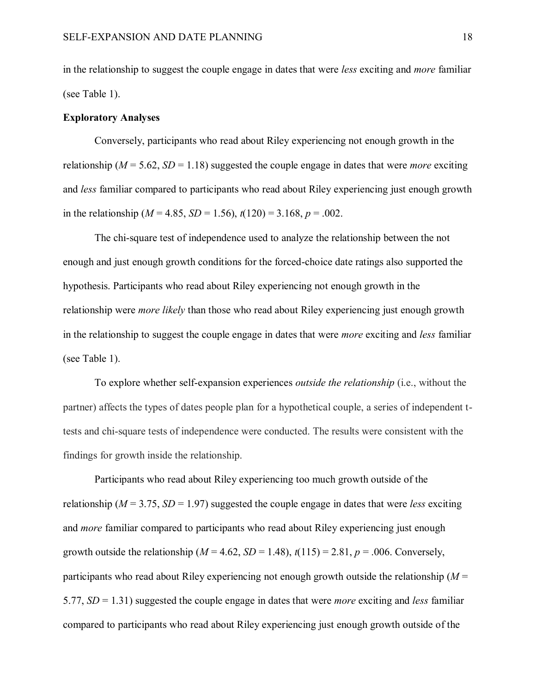in the relationship to suggest the couple engage in dates that were *less* exciting and *more* familiar (see Table 1).

# **Exploratory Analyses**

Conversely, participants who read about Riley experiencing not enough growth in the relationship ( $M = 5.62$ ,  $SD = 1.18$ ) suggested the couple engage in dates that were *more* exciting and *less* familiar compared to participants who read about Riley experiencing just enough growth in the relationship ( $M = 4.85$ ,  $SD = 1.56$ ),  $t(120) = 3.168$ ,  $p = .002$ .

The chi-square test of independence used to analyze the relationship between the not enough and just enough growth conditions for the forced-choice date ratings also supported the hypothesis. Participants who read about Riley experiencing not enough growth in the relationship were *more likely* than those who read about Riley experiencing just enough growth in the relationship to suggest the couple engage in dates that were *more* exciting and *less* familiar (see Table 1).

To explore whether self-expansion experiences *outside the relationship* (i.e., without the partner) affects the types of dates people plan for a hypothetical couple, a series of independent ttests and chi-square tests of independence were conducted. The results were consistent with the findings for growth inside the relationship.

Participants who read about Riley experiencing too much growth outside of the relationship ( $M = 3.75$ ,  $SD = 1.97$ ) suggested the couple engage in dates that were *less* exciting and *more* familiar compared to participants who read about Riley experiencing just enough growth outside the relationship ( $M = 4.62$ ,  $SD = 1.48$ ),  $t(115) = 2.81$ ,  $p = .006$ . Conversely, participants who read about Riley experiencing not enough growth outside the relationship (*M* = 5.77, *SD* = 1.31) suggested the couple engage in dates that were *more* exciting and *less* familiar compared to participants who read about Riley experiencing just enough growth outside of the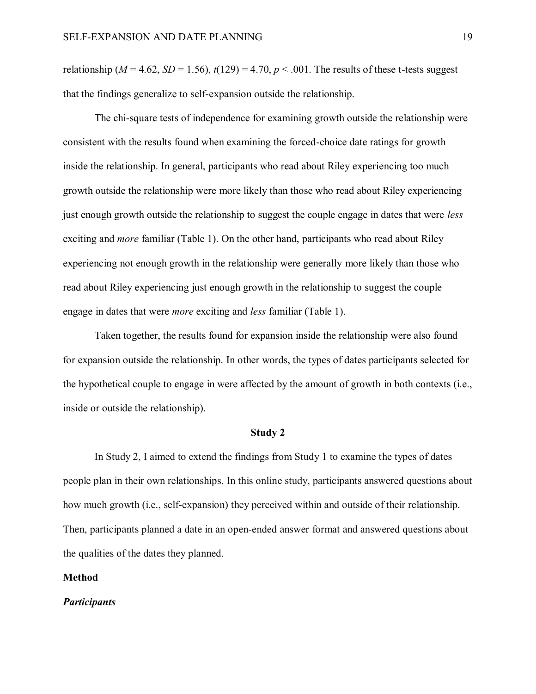relationship ( $M = 4.62$ ,  $SD = 1.56$ ),  $t(129) = 4.70$ ,  $p < .001$ . The results of these t-tests suggest that the findings generalize to self-expansion outside the relationship.

The chi-square tests of independence for examining growth outside the relationship were consistent with the results found when examining the forced-choice date ratings for growth inside the relationship. In general, participants who read about Riley experiencing too much growth outside the relationship were more likely than those who read about Riley experiencing just enough growth outside the relationship to suggest the couple engage in dates that were *less* exciting and *more* familiar (Table 1). On the other hand, participants who read about Riley experiencing not enough growth in the relationship were generally more likely than those who read about Riley experiencing just enough growth in the relationship to suggest the couple engage in dates that were *more* exciting and *less* familiar (Table 1).

Taken together, the results found for expansion inside the relationship were also found for expansion outside the relationship. In other words, the types of dates participants selected for the hypothetical couple to engage in were affected by the amount of growth in both contexts (i.e., inside or outside the relationship).

#### **Study 2**

In Study 2, I aimed to extend the findings from Study 1 to examine the types of dates people plan in their own relationships. In this online study, participants answered questions about how much growth (i.e., self-expansion) they perceived within and outside of their relationship. Then, participants planned a date in an open-ended answer format and answered questions about the qualities of the dates they planned.

### **Method**

# *Participants*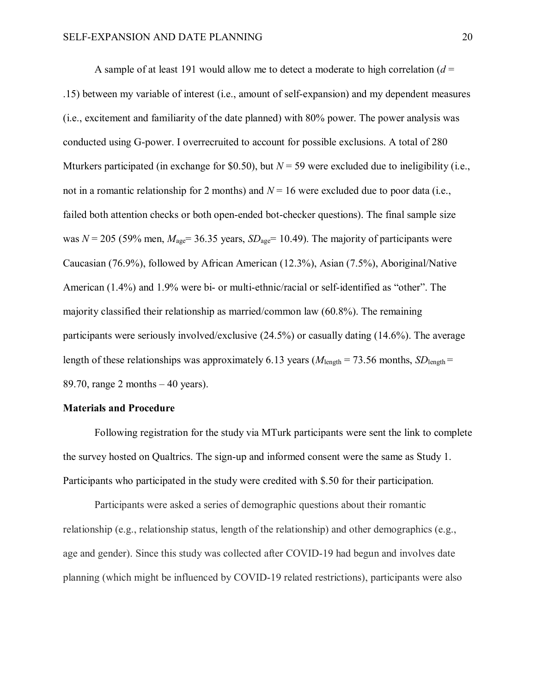A sample of at least 191 would allow me to detect a moderate to high correlation  $(d =$ .15) between my variable of interest (i.e., amount of self-expansion) and my dependent measures (i.e., excitement and familiarity of the date planned) with 80% power. The power analysis was conducted using G-power. I overrecruited to account for possible exclusions. A total of 280 Mturkers participated (in exchange for \$0.50), but  $N = 59$  were excluded due to ineligibility (i.e., not in a romantic relationship for 2 months) and  $N = 16$  were excluded due to poor data (i.e., failed both attention checks or both open-ended bot-checker questions). The final sample size was  $N = 205$  (59% men,  $M_{\text{age}} = 36.35$  years,  $SD_{\text{age}} = 10.49$ ). The majority of participants were Caucasian (76.9%), followed by African American (12.3%), Asian (7.5%), Aboriginal/Native American (1.4%) and 1.9% were bi- or multi-ethnic/racial or self-identified as "other". The majority classified their relationship as married/common law (60.8%). The remaining participants were seriously involved/exclusive (24.5%) or casually dating (14.6%). The average length of these relationships was approximately 6.13 years ( $M_{\text{length}} = 73.56$  months,  $SD_{\text{length}} =$ 89.70, range 2 months  $-40$  years).

# **Materials and Procedure**

Following registration for the study via MTurk participants were sent the link to complete the survey hosted on Qualtrics. The sign-up and informed consent were the same as Study 1. Participants who participated in the study were credited with \$.50 for their participation.

Participants were asked a series of demographic questions about their romantic relationship (e.g., relationship status, length of the relationship) and other demographics (e.g., age and gender). Since this study was collected after COVID-19 had begun and involves date planning (which might be influenced by COVID-19 related restrictions), participants were also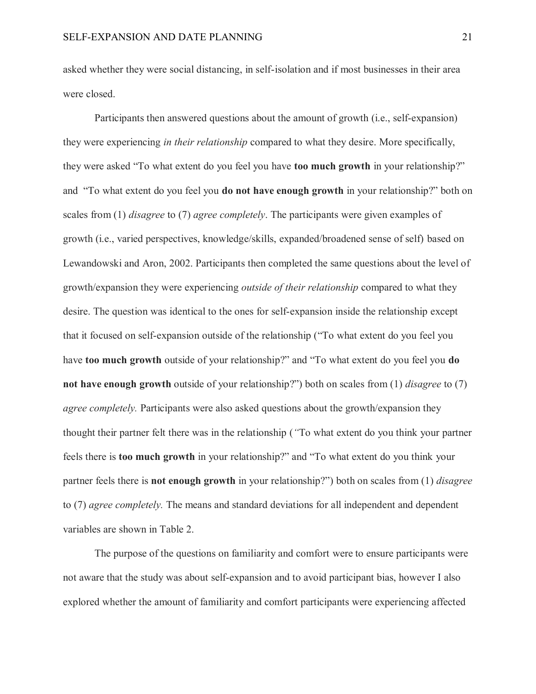asked whether they were social distancing, in self-isolation and if most businesses in their area were closed.

Participants then answered questions about the amount of growth (i.e., self-expansion) they were experiencing *in their relationship* compared to what they desire. More specifically, they were asked "To what extent do you feel you have **too much growth** in your relationship?" and "To what extent do you feel you **do not have enough growth** in your relationship?" both on scales from (1) *disagree* to (7) *agree completely*. The participants were given examples of growth (i.e., varied perspectives, knowledge/skills, expanded/broadened sense of self) based on Lewandowski and Aron, 2002. Participants then completed the same questions about the level of growth/expansion they were experiencing *outside of their relationship* compared to what they desire. The question was identical to the ones for self-expansion inside the relationship except that it focused on self-expansion outside of the relationship ("To what extent do you feel you have **too much growth** outside of your relationship?" and "To what extent do you feel you **do not have enough growth** outside of your relationship?") both on scales from (1) *disagree* to (7) *agree completely.* Participants were also asked questions about the growth/expansion they thought their partner felt there was in the relationship (*"*To what extent do you think your partner feels there is **too much growth** in your relationship?" and "To what extent do you think your partner feels there is **not enough growth** in your relationship?") both on scales from (1) *disagree* to (7) *agree completely.* The means and standard deviations for all independent and dependent variables are shown in Table 2.

The purpose of the questions on familiarity and comfort were to ensure participants were not aware that the study was about self-expansion and to avoid participant bias, however I also explored whether the amount of familiarity and comfort participants were experiencing affected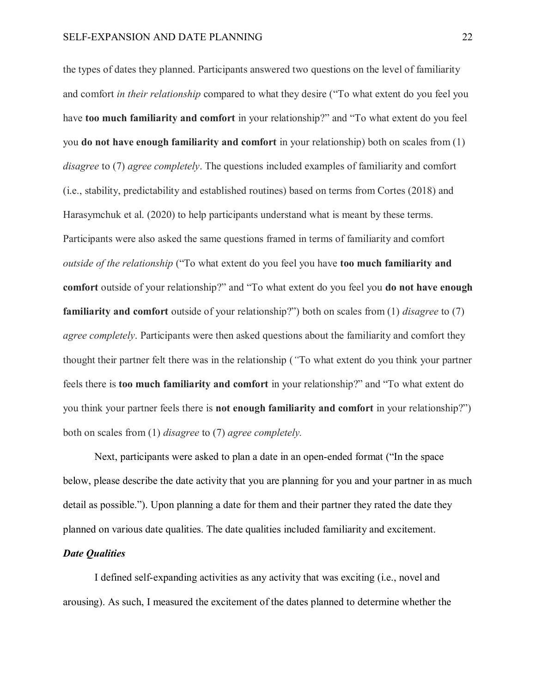the types of dates they planned. Participants answered two questions on the level of familiarity and comfort *in their relationship* compared to what they desire ("To what extent do you feel you have **too much familiarity and comfort** in your relationship?" and "To what extent do you feel you **do not have enough familiarity and comfort** in your relationship) both on scales from (1) *disagree* to (7) *agree completely*. The questions included examples of familiarity and comfort (i.e., stability, predictability and established routines) based on terms from Cortes (2018) and Harasymchuk et al. (2020) to help participants understand what is meant by these terms. Participants were also asked the same questions framed in terms of familiarity and comfort *outside of the relationship* ("To what extent do you feel you have **too much familiarity and comfort** outside of your relationship?" and "To what extent do you feel you **do not have enough familiarity and comfort** outside of your relationship?") both on scales from (1) *disagree* to (7) *agree completely*. Participants were then asked questions about the familiarity and comfort they thought their partner felt there was in the relationship (*"*To what extent do you think your partner feels there is **too much familiarity and comfort** in your relationship?" and "To what extent do you think your partner feels there is **not enough familiarity and comfort** in your relationship?") both on scales from (1) *disagree* to (7) *agree completely.*

Next, participants were asked to plan a date in an open-ended format ("In the space below, please describe the date activity that you are planning for you and your partner in as much detail as possible."). Upon planning a date for them and their partner they rated the date they planned on various date qualities. The date qualities included familiarity and excitement.

# *Date Qualities*

I defined self-expanding activities as any activity that was exciting (i.e., novel and arousing). As such, I measured the excitement of the dates planned to determine whether the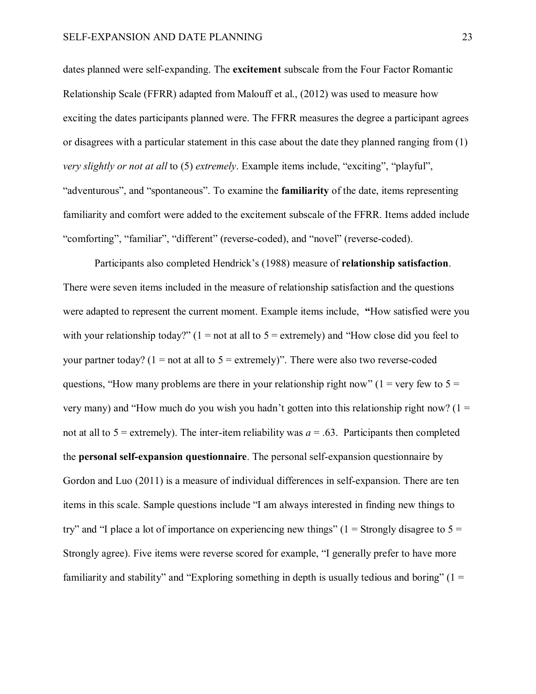dates planned were self-expanding. The **excitement** subscale from the Four Factor Romantic Relationship Scale (FFRR) adapted from Malouff et al., (2012) was used to measure how exciting the dates participants planned were. The FFRR measures the degree a participant agrees or disagrees with a particular statement in this case about the date they planned ranging from (1) *very slightly or not at all* to (5) *extremely*. Example items include, "exciting", "playful", "adventurous", and "spontaneous". To examine the **familiarity** of the date, items representing familiarity and comfort were added to the excitement subscale of the FFRR. Items added include "comforting", "familiar", "different" (reverse-coded), and "novel" (reverse-coded).

Participants also completed Hendrick's (1988) measure of **relationship satisfaction**. There were seven items included in the measure of relationship satisfaction and the questions were adapted to represent the current moment. Example items include, **"**How satisfied were you with your relationship today?"  $(1 = not at all to 5 = extremely)$  and "How close did you feel to your partner today? ( $1 = not$  at all to  $5 =$  extremely)". There were also two reverse-coded questions, "How many problems are there in your relationship right now" ( $1 = \text{very few to } 5 =$ very many) and "How much do you wish you hadn't gotten into this relationship right now? ( $1 =$ not at all to  $5$  = extremely). The inter-item reliability was  $a = .63$ . Participants then completed the **personal self-expansion questionnaire**. The personal self-expansion questionnaire by Gordon and Luo (2011) is a measure of individual differences in self-expansion. There are ten items in this scale. Sample questions include "I am always interested in finding new things to try" and "I place a lot of importance on experiencing new things" (1 = Strongly disagree to  $5 =$ Strongly agree). Five items were reverse scored for example, "I generally prefer to have more familiarity and stability" and "Exploring something in depth is usually tedious and boring" ( $1 =$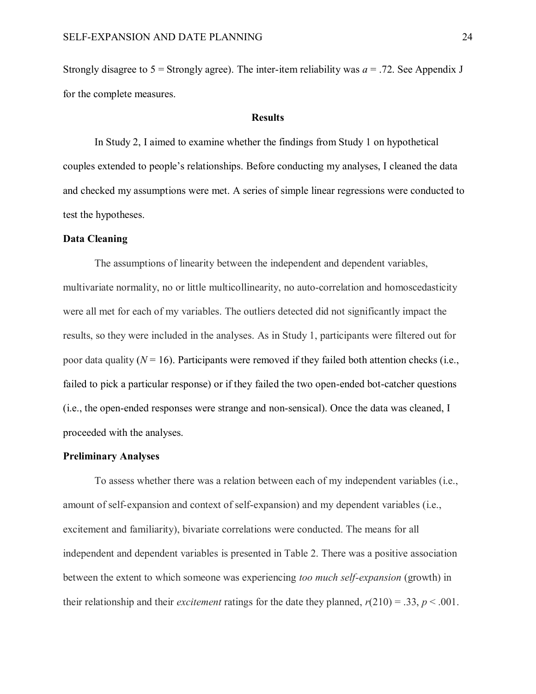Strongly disagree to  $5 =$  Strongly agree). The inter-item reliability was  $a = .72$ . See Appendix J for the complete measures.

#### **Results**

In Study 2, I aimed to examine whether the findings from Study 1 on hypothetical couples extended to people's relationships. Before conducting my analyses, I cleaned the data and checked my assumptions were met. A series of simple linear regressions were conducted to test the hypotheses.

# **Data Cleaning**

The assumptions of linearity between the independent and dependent variables, multivariate normality, no or little multicollinearity, no auto-correlation and homoscedasticity were all met for each of my variables. The outliers detected did not significantly impact the results, so they were included in the analyses. As in Study 1, participants were filtered out for poor data quality  $(N = 16)$ . Participants were removed if they failed both attention checks (i.e., failed to pick a particular response) or if they failed the two open-ended bot-catcher questions (i.e., the open-ended responses were strange and non-sensical). Once the data was cleaned, I proceeded with the analyses.

#### **Preliminary Analyses**

To assess whether there was a relation between each of my independent variables (i.e., amount of self-expansion and context of self-expansion) and my dependent variables (i.e., excitement and familiarity), bivariate correlations were conducted. The means for all independent and dependent variables is presented in Table 2. There was a positive association between the extent to which someone was experiencing *too much self-expansion* (growth) in their relationship and their *excitement* ratings for the date they planned,  $r(210) = .33$ ,  $p < .001$ .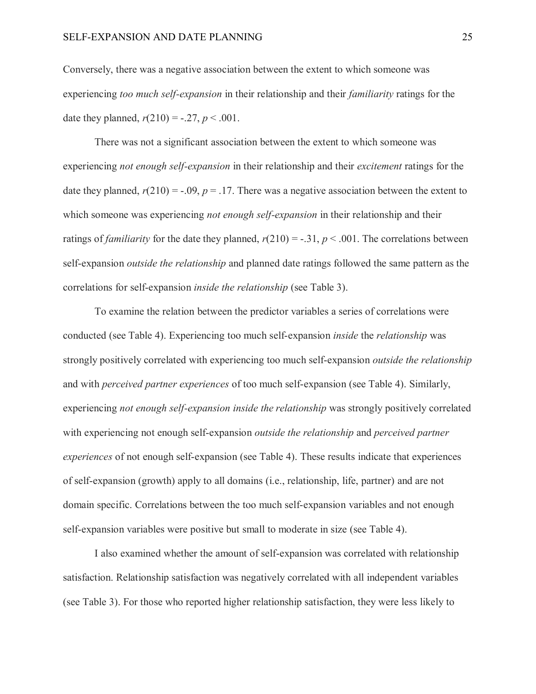Conversely, there was a negative association between the extent to which someone was experiencing *too much self-expansion* in their relationship and their *familiarity* ratings for the date they planned,  $r(210) = -.27, p < .001$ .

There was not a significant association between the extent to which someone was experiencing *not enough self-expansion* in their relationship and their *excitement* ratings for the date they planned,  $r(210) = -.09$ ,  $p = .17$ . There was a negative association between the extent to which someone was experiencing *not enough self-expansion* in their relationship and their ratings of *familiarity* for the date they planned,  $r(210) = -.31$ ,  $p < .001$ . The correlations between self-expansion *outside the relationship* and planned date ratings followed the same pattern as the correlations for self-expansion *inside the relationship* (see Table 3).

To examine the relation between the predictor variables a series of correlations were conducted (see Table 4). Experiencing too much self-expansion *inside* the *relationship* was strongly positively correlated with experiencing too much self-expansion *outside the relationship* and with *perceived partner experiences* of too much self-expansion (see Table 4). Similarly, experiencing *not enough self-expansion inside the relationship* was strongly positively correlated with experiencing not enough self-expansion *outside the relationship* and *perceived partner experiences* of not enough self-expansion (see Table 4). These results indicate that experiences of self-expansion (growth) apply to all domains (i.e., relationship, life, partner) and are not domain specific. Correlations between the too much self-expansion variables and not enough self-expansion variables were positive but small to moderate in size (see Table 4).

I also examined whether the amount of self-expansion was correlated with relationship satisfaction. Relationship satisfaction was negatively correlated with all independent variables (see Table 3). For those who reported higher relationship satisfaction, they were less likely to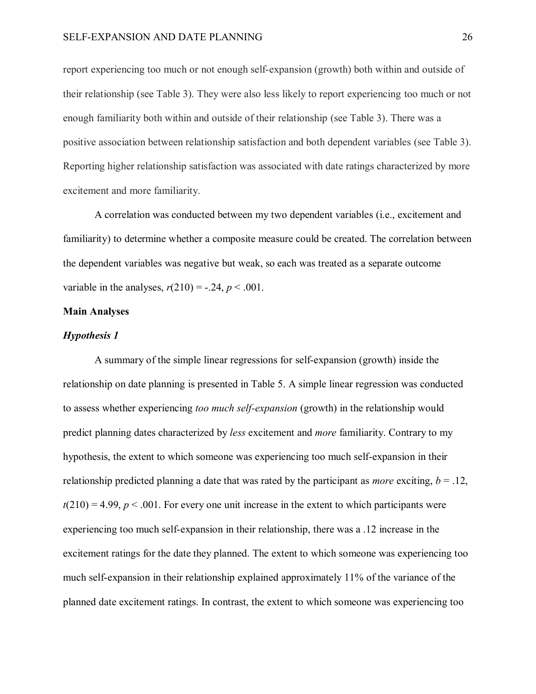report experiencing too much or not enough self-expansion (growth) both within and outside of their relationship (see Table 3). They were also less likely to report experiencing too much or not enough familiarity both within and outside of their relationship (see Table 3). There was a positive association between relationship satisfaction and both dependent variables (see Table 3). Reporting higher relationship satisfaction was associated with date ratings characterized by more excitement and more familiarity.

A correlation was conducted between my two dependent variables (i.e., excitement and familiarity) to determine whether a composite measure could be created. The correlation between the dependent variables was negative but weak, so each was treated as a separate outcome variable in the analyses,  $r(210) = -.24, p < .001$ .

#### **Main Analyses**

# *Hypothesis 1*

A summary of the simple linear regressions for self-expansion (growth) inside the relationship on date planning is presented in Table 5. A simple linear regression was conducted to assess whether experiencing *too much self-expansion* (growth) in the relationship would predict planning dates characterized by *less* excitement and *more* familiarity. Contrary to my hypothesis, the extent to which someone was experiencing too much self-expansion in their relationship predicted planning a date that was rated by the participant as *more* exciting, *b* = .12,  $t(210) = 4.99$ ,  $p < .001$ . For every one unit increase in the extent to which participants were experiencing too much self-expansion in their relationship, there was a .12 increase in the excitement ratings for the date they planned. The extent to which someone was experiencing too much self-expansion in their relationship explained approximately 11% of the variance of the planned date excitement ratings. In contrast, the extent to which someone was experiencing too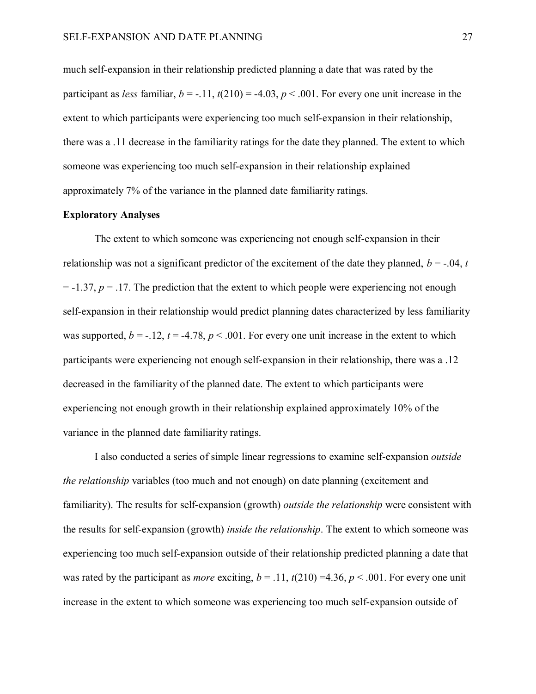much self-expansion in their relationship predicted planning a date that was rated by the participant as *less* familiar,  $b = -11$ ,  $t(210) = -4.03$ ,  $p < .001$ . For every one unit increase in the extent to which participants were experiencing too much self-expansion in their relationship, there was a .11 decrease in the familiarity ratings for the date they planned. The extent to which someone was experiencing too much self-expansion in their relationship explained approximately 7% of the variance in the planned date familiarity ratings.

## **Exploratory Analyses**

The extent to which someone was experiencing not enough self-expansion in their relationship was not a significant predictor of the excitement of the date they planned,  $b = -0.04$ , *t*  $= -1.37$ ,  $p = 0.17$ . The prediction that the extent to which people were experiencing not enough self-expansion in their relationship would predict planning dates characterized by less familiarity was supported,  $b = -12$ ,  $t = -4.78$ ,  $p < .001$ . For every one unit increase in the extent to which participants were experiencing not enough self-expansion in their relationship, there was a .12 decreased in the familiarity of the planned date. The extent to which participants were experiencing not enough growth in their relationship explained approximately 10% of the variance in the planned date familiarity ratings.

I also conducted a series of simple linear regressions to examine self-expansion *outside the relationship* variables (too much and not enough) on date planning (excitement and familiarity). The results for self-expansion (growth) *outside the relationship* were consistent with the results for self-expansion (growth) *inside the relationship*. The extent to which someone was experiencing too much self-expansion outside of their relationship predicted planning a date that was rated by the participant as *more* exciting,  $b = .11$ ,  $t(210) = 4.36$ ,  $p < .001$ . For every one unit increase in the extent to which someone was experiencing too much self-expansion outside of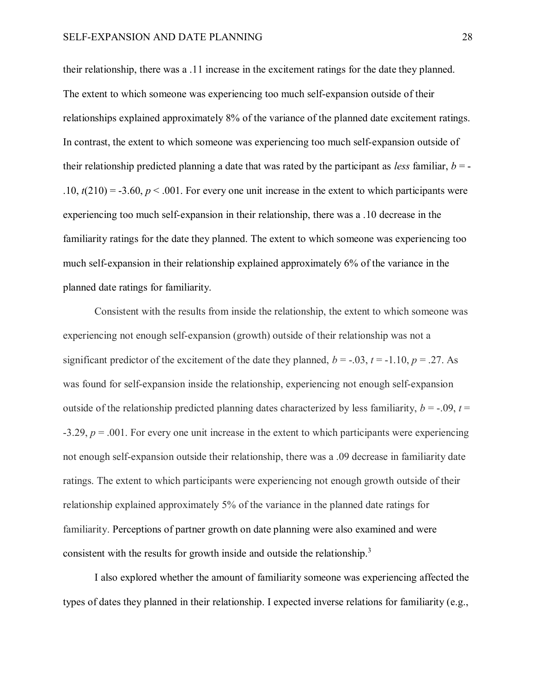their relationship, there was a .11 increase in the excitement ratings for the date they planned. The extent to which someone was experiencing too much self-expansion outside of their relationships explained approximately 8% of the variance of the planned date excitement ratings. In contrast, the extent to which someone was experiencing too much self-expansion outside of their relationship predicted planning a date that was rated by the participant as *less* familiar,  $b = .10, t(210) = -3.60, p < .001$ . For every one unit increase in the extent to which participants were experiencing too much self-expansion in their relationship, there was a .10 decrease in the familiarity ratings for the date they planned. The extent to which someone was experiencing too much self-expansion in their relationship explained approximately 6% of the variance in the planned date ratings for familiarity.

Consistent with the results from inside the relationship, the extent to which someone was experiencing not enough self-expansion (growth) outside of their relationship was not a significant predictor of the excitement of the date they planned,  $b = -0.03$ ,  $t = -1.10$ ,  $p = .27$ . As was found for self-expansion inside the relationship, experiencing not enough self-expansion outside of the relationship predicted planning dates characterized by less familiarity,  $b = -.09$ ,  $t =$  $-3.29, p = .001$ . For every one unit increase in the extent to which participants were experiencing not enough self-expansion outside their relationship, there was a .09 decrease in familiarity date ratings. The extent to which participants were experiencing not enough growth outside of their relationship explained approximately 5% of the variance in the planned date ratings for familiarity. Perceptions of partner growth on date planning were also examined and were consistent with the results for growth inside and outside the relationship.<sup>3</sup>

I also explored whether the amount of familiarity someone was experiencing affected the types of dates they planned in their relationship. I expected inverse relations for familiarity (e.g.,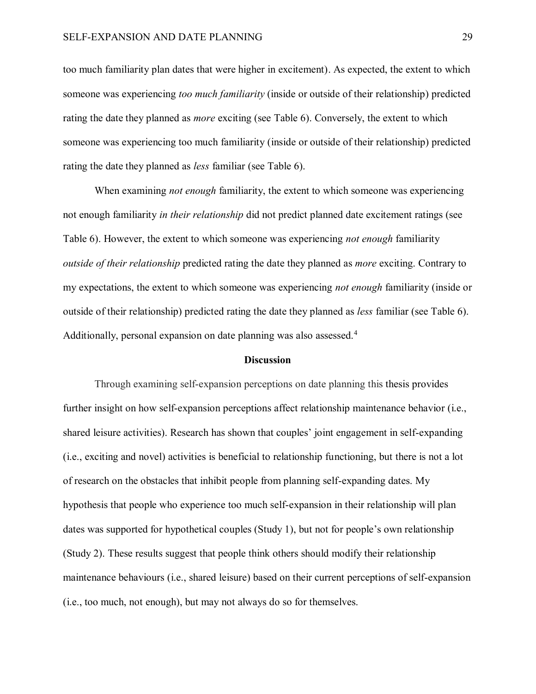too much familiarity plan dates that were higher in excitement). As expected, the extent to which someone was experiencing *too much familiarity* (inside or outside of their relationship) predicted rating the date they planned as *more* exciting (see Table 6). Conversely, the extent to which someone was experiencing too much familiarity (inside or outside of their relationship) predicted rating the date they planned as *less* familiar (see Table 6).

When examining *not enough* familiarity, the extent to which someone was experiencing not enough familiarity *in their relationship* did not predict planned date excitement ratings (see Table 6). However, the extent to which someone was experiencing *not enough* familiarity *outside of their relationship* predicted rating the date they planned as *more* exciting. Contrary to my expectations, the extent to which someone was experiencing *not enough* familiarity (inside or outside of their relationship) predicted rating the date they planned as *less* familiar (see Table 6). Additionally, personal expansion on date planning was also assessed.<sup>4</sup>

#### **Discussion**

Through examining self-expansion perceptions on date planning this thesis provides further insight on how self-expansion perceptions affect relationship maintenance behavior (i.e., shared leisure activities). Research has shown that couples' joint engagement in self-expanding (i.e., exciting and novel) activities is beneficial to relationship functioning, but there is not a lot of research on the obstacles that inhibit people from planning self-expanding dates. My hypothesis that people who experience too much self-expansion in their relationship will plan dates was supported for hypothetical couples (Study 1), but not for people's own relationship (Study 2). These results suggest that people think others should modify their relationship maintenance behaviours (i.e., shared leisure) based on their current perceptions of self-expansion (i.e., too much, not enough), but may not always do so for themselves.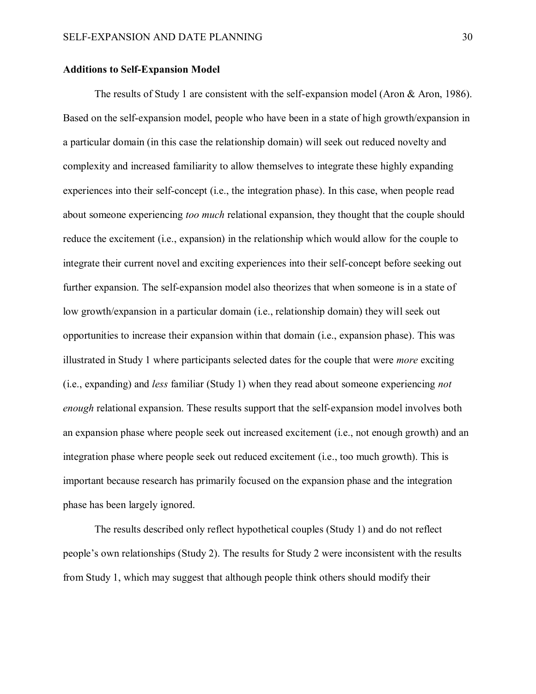#### **Additions to Self-Expansion Model**

The results of Study 1 are consistent with the self-expansion model (Aron & Aron, 1986). Based on the self-expansion model, people who have been in a state of high growth/expansion in a particular domain (in this case the relationship domain) will seek out reduced novelty and complexity and increased familiarity to allow themselves to integrate these highly expanding experiences into their self-concept (i.e., the integration phase). In this case, when people read about someone experiencing *too much* relational expansion, they thought that the couple should reduce the excitement (i.e., expansion) in the relationship which would allow for the couple to integrate their current novel and exciting experiences into their self-concept before seeking out further expansion. The self-expansion model also theorizes that when someone is in a state of low growth/expansion in a particular domain (i.e., relationship domain) they will seek out opportunities to increase their expansion within that domain (i.e., expansion phase). This was illustrated in Study 1 where participants selected dates for the couple that were *more* exciting (i.e., expanding) and *less* familiar (Study 1) when they read about someone experiencing *not enough* relational expansion. These results support that the self-expansion model involves both an expansion phase where people seek out increased excitement (i.e., not enough growth) and an integration phase where people seek out reduced excitement (i.e., too much growth). This is important because research has primarily focused on the expansion phase and the integration phase has been largely ignored.

The results described only reflect hypothetical couples (Study 1) and do not reflect people's own relationships (Study 2). The results for Study 2 were inconsistent with the results from Study 1, which may suggest that although people think others should modify their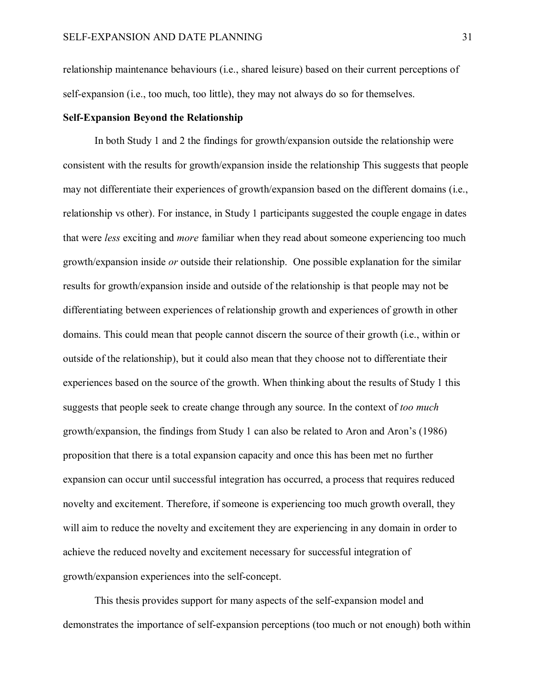relationship maintenance behaviours (i.e., shared leisure) based on their current perceptions of self-expansion (i.e., too much, too little), they may not always do so for themselves.

#### **Self-Expansion Beyond the Relationship**

In both Study 1 and 2 the findings for growth/expansion outside the relationship were consistent with the results for growth/expansion inside the relationship This suggests that people may not differentiate their experiences of growth/expansion based on the different domains (i.e., relationship vs other). For instance, in Study 1 participants suggested the couple engage in dates that were *less* exciting and *more* familiar when they read about someone experiencing too much growth/expansion inside *or* outside their relationship. One possible explanation for the similar results for growth/expansion inside and outside of the relationship is that people may not be differentiating between experiences of relationship growth and experiences of growth in other domains. This could mean that people cannot discern the source of their growth (i.e., within or outside of the relationship), but it could also mean that they choose not to differentiate their experiences based on the source of the growth. When thinking about the results of Study 1 this suggests that people seek to create change through any source. In the context of *too much* growth/expansion, the findings from Study 1 can also be related to Aron and Aron's (1986) proposition that there is a total expansion capacity and once this has been met no further expansion can occur until successful integration has occurred, a process that requires reduced novelty and excitement. Therefore, if someone is experiencing too much growth overall, they will aim to reduce the novelty and excitement they are experiencing in any domain in order to achieve the reduced novelty and excitement necessary for successful integration of growth/expansion experiences into the self-concept.

This thesis provides support for many aspects of the self-expansion model and demonstrates the importance of self-expansion perceptions (too much or not enough) both within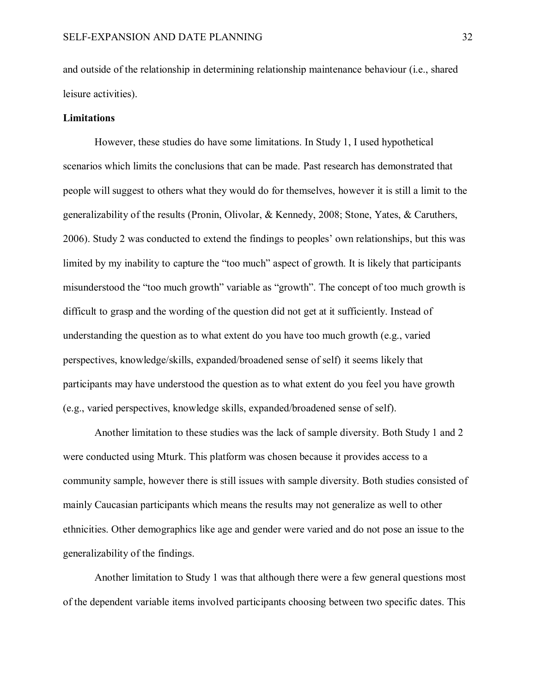and outside of the relationship in determining relationship maintenance behaviour (i.e., shared leisure activities).

#### **Limitations**

However, these studies do have some limitations. In Study 1, I used hypothetical scenarios which limits the conclusions that can be made. Past research has demonstrated that people will suggest to others what they would do for themselves, however it is still a limit to the generalizability of the results (Pronin, Olivolar, & Kennedy, 2008; Stone, Yates, & Caruthers, 2006). Study 2 was conducted to extend the findings to peoples' own relationships, but this was limited by my inability to capture the "too much" aspect of growth. It is likely that participants misunderstood the "too much growth" variable as "growth". The concept of too much growth is difficult to grasp and the wording of the question did not get at it sufficiently. Instead of understanding the question as to what extent do you have too much growth (e.g., varied perspectives, knowledge/skills, expanded/broadened sense of self) it seems likely that participants may have understood the question as to what extent do you feel you have growth (e.g., varied perspectives, knowledge skills, expanded/broadened sense of self).

Another limitation to these studies was the lack of sample diversity. Both Study 1 and 2 were conducted using Mturk. This platform was chosen because it provides access to a community sample, however there is still issues with sample diversity. Both studies consisted of mainly Caucasian participants which means the results may not generalize as well to other ethnicities. Other demographics like age and gender were varied and do not pose an issue to the generalizability of the findings.

Another limitation to Study 1 was that although there were a few general questions most of the dependent variable items involved participants choosing between two specific dates. This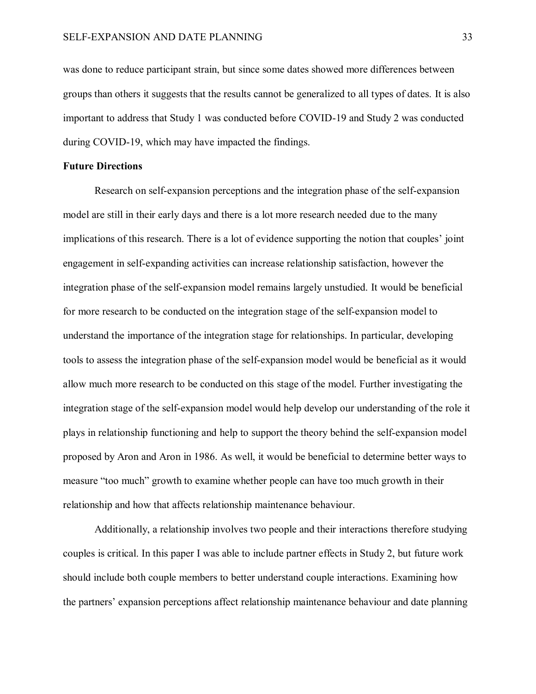was done to reduce participant strain, but since some dates showed more differences between groups than others it suggests that the results cannot be generalized to all types of dates. It is also important to address that Study 1 was conducted before COVID-19 and Study 2 was conducted during COVID-19, which may have impacted the findings.

# **Future Directions**

Research on self-expansion perceptions and the integration phase of the self-expansion model are still in their early days and there is a lot more research needed due to the many implications of this research. There is a lot of evidence supporting the notion that couples' joint engagement in self-expanding activities can increase relationship satisfaction, however the integration phase of the self-expansion model remains largely unstudied. It would be beneficial for more research to be conducted on the integration stage of the self-expansion model to understand the importance of the integration stage for relationships. In particular, developing tools to assess the integration phase of the self-expansion model would be beneficial as it would allow much more research to be conducted on this stage of the model. Further investigating the integration stage of the self-expansion model would help develop our understanding of the role it plays in relationship functioning and help to support the theory behind the self-expansion model proposed by Aron and Aron in 1986. As well, it would be beneficial to determine better ways to measure "too much" growth to examine whether people can have too much growth in their relationship and how that affects relationship maintenance behaviour.

Additionally, a relationship involves two people and their interactions therefore studying couples is critical. In this paper I was able to include partner effects in Study 2, but future work should include both couple members to better understand couple interactions. Examining how the partners' expansion perceptions affect relationship maintenance behaviour and date planning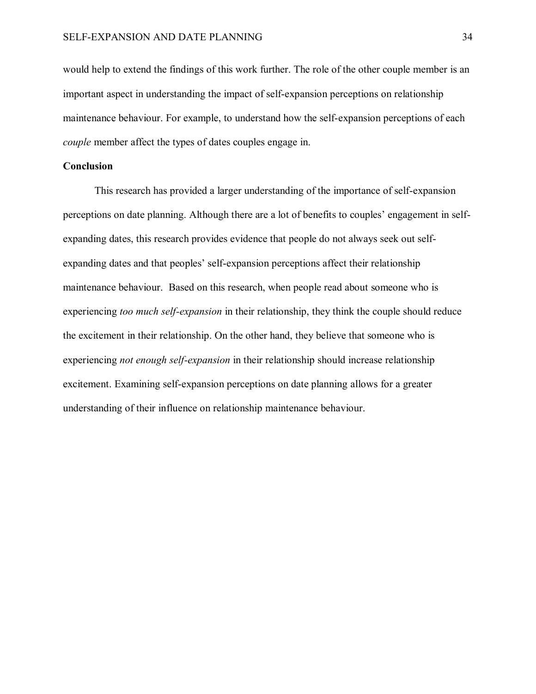would help to extend the findings of this work further. The role of the other couple member is an important aspect in understanding the impact of self-expansion perceptions on relationship maintenance behaviour. For example, to understand how the self-expansion perceptions of each *couple* member affect the types of dates couples engage in.

#### **Conclusion**

This research has provided a larger understanding of the importance of self-expansion perceptions on date planning. Although there are a lot of benefits to couples' engagement in selfexpanding dates, this research provides evidence that people do not always seek out selfexpanding dates and that peoples' self-expansion perceptions affect their relationship maintenance behaviour. Based on this research, when people read about someone who is experiencing *too much self-expansion* in their relationship, they think the couple should reduce the excitement in their relationship. On the other hand, they believe that someone who is experiencing *not enough self-expansion* in their relationship should increase relationship excitement. Examining self-expansion perceptions on date planning allows for a greater understanding of their influence on relationship maintenance behaviour.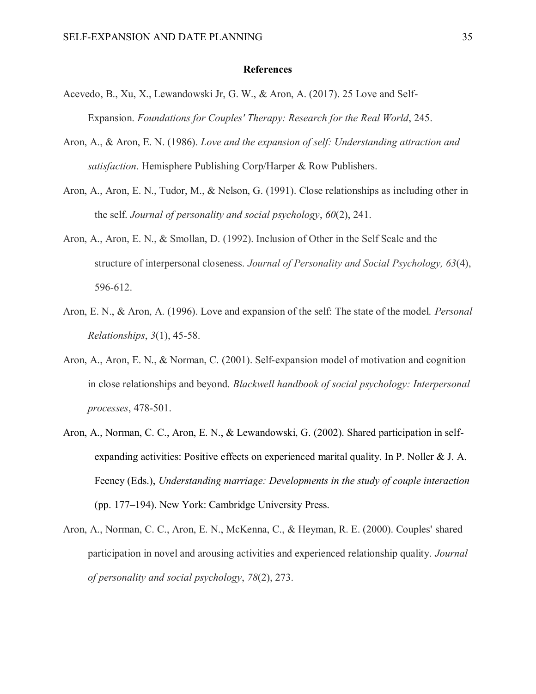#### **References**

- Acevedo, B., Xu, X., Lewandowski Jr, G. W., & Aron, A. (2017). 25 Love and Self-Expansion. *Foundations for Couples' Therapy: Research for the Real World*, 245.
- Aron, A., & Aron, E. N. (1986). *Love and the expansion of self: Understanding attraction and satisfaction*. Hemisphere Publishing Corp/Harper & Row Publishers.
- Aron, A., Aron, E. N., Tudor, M., & Nelson, G. (1991). Close relationships as including other in the self. *Journal of personality and social psychology*, *60*(2), 241.
- Aron, A., Aron, E. N., & Smollan, D. (1992). Inclusion of Other in the Self Scale and the structure of interpersonal closeness. *Journal of Personality and Social Psychology, 63*(4), 596-612.
- Aron, E. N., & Aron, A. (1996). Love and expansion of the self: The state of the model. *Personal Relationships*, *3*(1), 45-58.
- Aron, A., Aron, E. N., & Norman, C. (2001). Self‐expansion model of motivation and cognition in close relationships and beyond. *Blackwell handbook of social psychology: Interpersonal processes*, 478-501.
- Aron, A., Norman, C. C., Aron, E. N., & Lewandowski, G. (2002). Shared participation in selfexpanding activities: Positive effects on experienced marital quality. In P. Noller & J. A. Feeney (Eds.), *Understanding marriage: Developments in the study of couple interaction* (pp. 177–194). New York: Cambridge University Press.
- Aron, A., Norman, C. C., Aron, E. N., McKenna, C., & Heyman, R. E. (2000). Couples' shared participation in novel and arousing activities and experienced relationship quality. *Journal of personality and social psychology*, *78*(2), 273.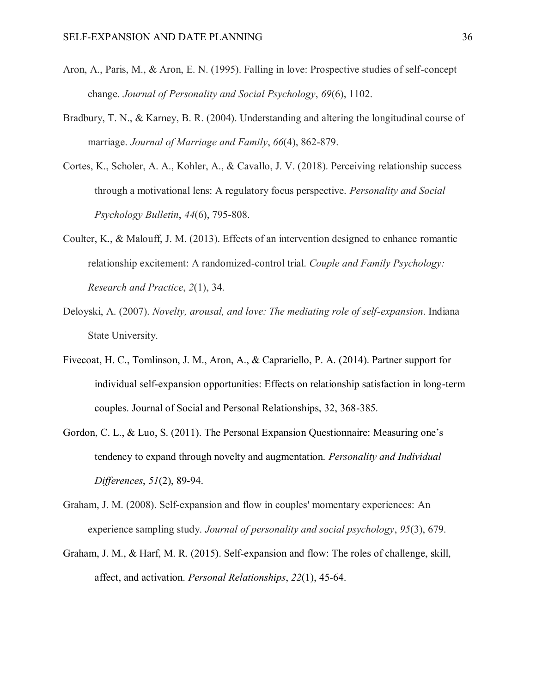- Aron, A., Paris, M., & Aron, E. N. (1995). Falling in love: Prospective studies of self-concept change. *Journal of Personality and Social Psychology*, *69*(6), 1102.
- Bradbury, T. N., & Karney, B. R. (2004). Understanding and altering the longitudinal course of marriage. *Journal of Marriage and Family*, *66*(4), 862-879.
- Cortes, K., Scholer, A. A., Kohler, A., & Cavallo, J. V. (2018). Perceiving relationship success through a motivational lens: A regulatory focus perspective. *Personality and Social Psychology Bulletin*, *44*(6), 795-808.
- Coulter, K., & Malouff, J. M. (2013). Effects of an intervention designed to enhance romantic relationship excitement: A randomized-control trial. *Couple and Family Psychology: Research and Practice*, *2*(1), 34.
- Deloyski, A. (2007). *Novelty, arousal, and love: The mediating role of self-expansion*. Indiana State University.
- Fivecoat, H. C., Tomlinson, J. M., Aron, A., & Caprariello, P. A. (2014). Partner support for individual self-expansion opportunities: Effects on relationship satisfaction in long-term couples. Journal of Social and Personal Relationships, 32, 368-385.
- Gordon, C. L., & Luo, S. (2011). The Personal Expansion Questionnaire: Measuring one's tendency to expand through novelty and augmentation. *Personality and Individual Differences*, *51*(2), 89-94.
- Graham, J. M. (2008). Self-expansion and flow in couples' momentary experiences: An experience sampling study. *Journal of personality and social psychology*, *95*(3), 679.
- Graham, J. M., & Harf, M. R. (2015). Self-expansion and flow: The roles of challenge, skill, affect, and activation. *Personal Relationships*, *22*(1), 45-64.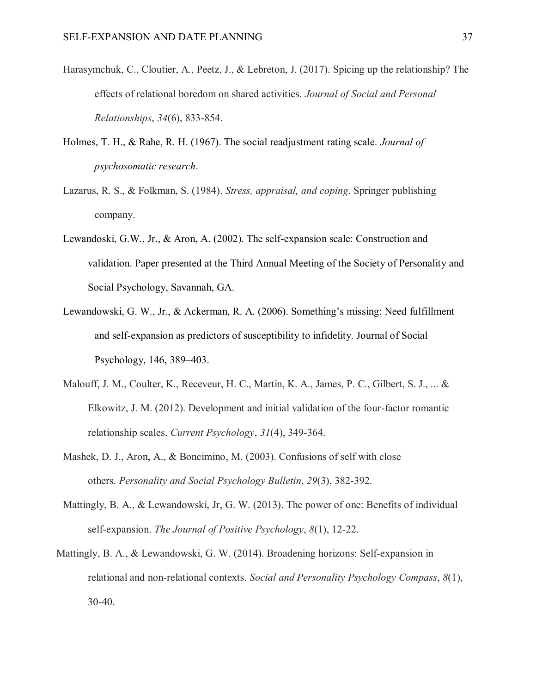- Harasymchuk, C., Cloutier, A., Peetz, J., & Lebreton, J. (2017). Spicing up the relationship? The effects of relational boredom on shared activities. *Journal of Social and Personal Relationships*, *34*(6), 833-854.
- Holmes, T. H., & Rahe, R. H. (1967). The social readjustment rating scale. *Journal of psychosomatic research*.
- Lazarus, R. S., & Folkman, S. (1984). *Stress, appraisal, and coping*. Springer publishing company.
- Lewandoski, G.W., Jr., & Aron, A. (2002). The self-expansion scale: Construction and validation. Paper presented at the Third Annual Meeting of the Society of Personality and Social Psychology, Savannah, GA.
- Lewandowski, G. W., Jr., & Ackerman, R. A. (2006). Something's missing: Need fulfillment and self-expansion as predictors of susceptibility to infidelity. Journal of Social Psychology, 146, 389–403.
- Malouff, J. M., Coulter, K., Receveur, H. C., Martin, K. A., James, P. C., Gilbert, S. J., ... & Elkowitz, J. M. (2012). Development and initial validation of the four-factor romantic relationship scales. *Current Psychology*, *31*(4), 349-364.
- Mashek, D. J., Aron, A., & Boncimino, M. (2003). Confusions of self with close others. *Personality and Social Psychology Bulletin*, *29*(3), 382-392.
- Mattingly, B. A., & Lewandowski, Jr, G. W. (2013). The power of one: Benefits of individual self-expansion. *The Journal of Positive Psychology*, *8*(1), 12-22.
- Mattingly, B. A., & Lewandowski, G. W. (2014). Broadening horizons: Self‐expansion in relational and non‐relational contexts. *Social and Personality Psychology Compass*, *8*(1), 30-40.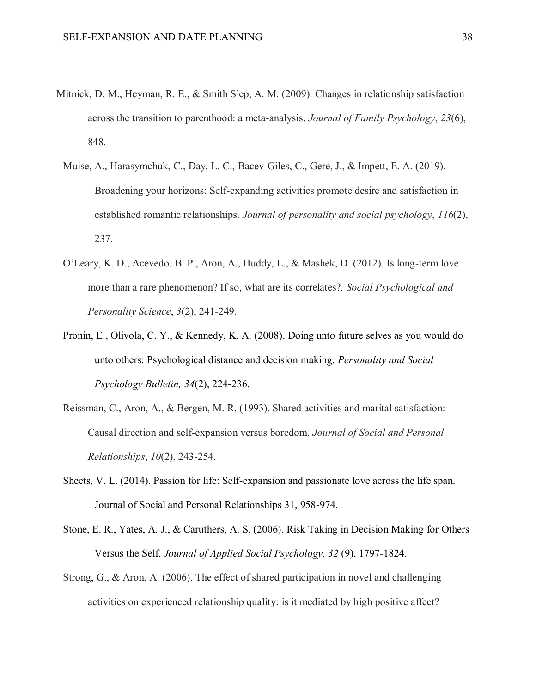- Mitnick, D. M., Heyman, R. E., & Smith Slep, A. M. (2009). Changes in relationship satisfaction across the transition to parenthood: a meta-analysis. *Journal of Family Psychology*, *23*(6), 848.
	- Muise, A., Harasymchuk, C., Day, L. C., Bacev-Giles, C., Gere, J., & Impett, E. A. (2019). Broadening your horizons: Self-expanding activities promote desire and satisfaction in established romantic relationships. *Journal of personality and social psychology*, *116*(2), 237.
	- O'Leary, K. D., Acevedo, B. P., Aron, A., Huddy, L., & Mashek, D. (2012). Is long-term love more than a rare phenomenon? If so, what are its correlates?. *Social Psychological and Personality Science*, *3*(2), 241-249.
	- Pronin, E., Olivola, C. Y., & Kennedy, K. A. (2008). Doing unto future selves as you would do unto others: Psychological distance and decision making. *Personality and Social Psychology Bulletin, 34*(2), 224-236.
	- Reissman, C., Aron, A., & Bergen, M. R. (1993). Shared activities and marital satisfaction: Causal direction and self-expansion versus boredom. *Journal of Social and Personal Relationships*, *10*(2), 243-254.
	- Sheets, V. L. (2014). Passion for life: Self-expansion and passionate love across the life span. Journal of Social and Personal Relationships 31, 958-974.
	- Stone, E. R., Yates, A. J., & Caruthers, A. S. (2006). Risk Taking in Decision Making for Others Versus the Self. *Journal of Applied Social Psychology, 32* (9), 1797-1824.
	- Strong, G., & Aron, A. (2006). The effect of shared participation in novel and challenging activities on experienced relationship quality: is it mediated by high positive affect?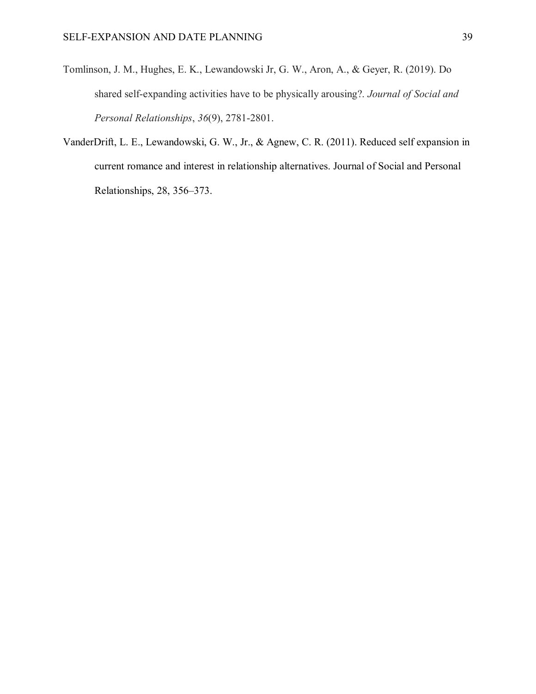- Tomlinson, J. M., Hughes, E. K., Lewandowski Jr, G. W., Aron, A., & Geyer, R. (2019). Do shared self-expanding activities have to be physically arousing?. *Journal of Social and Personal Relationships*, *36*(9), 2781-2801.
- VanderDrift, L. E., Lewandowski, G. W., Jr., & Agnew, C. R. (2011). Reduced self expansion in current romance and interest in relationship alternatives. Journal of Social and Personal Relationships, 28, 356–373.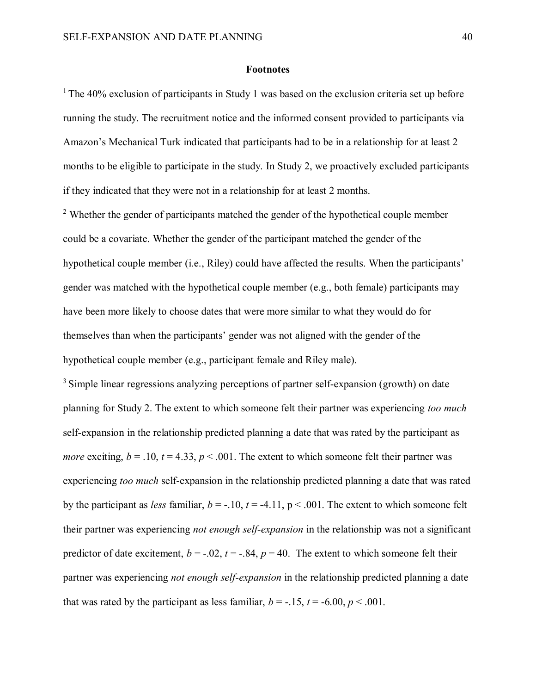#### **Footnotes**

 $1$ <sup>1</sup> The 40% exclusion of participants in Study 1 was based on the exclusion criteria set up before running the study. The recruitment notice and the informed consent provided to participants via Amazon's Mechanical Turk indicated that participants had to be in a relationship for at least 2 months to be eligible to participate in the study. In Study 2, we proactively excluded participants if they indicated that they were not in a relationship for at least 2 months.

<sup>2</sup> Whether the gender of participants matched the gender of the hypothetical couple member could be a covariate. Whether the gender of the participant matched the gender of the hypothetical couple member (i.e., Riley) could have affected the results. When the participants' gender was matched with the hypothetical couple member (e.g., both female) participants may have been more likely to choose dates that were more similar to what they would do for themselves than when the participants' gender was not aligned with the gender of the hypothetical couple member (e.g., participant female and Riley male).

<sup>3</sup> Simple linear regressions analyzing perceptions of partner self-expansion (growth) on date planning for Study 2. The extent to which someone felt their partner was experiencing *too much* self-expansion in the relationship predicted planning a date that was rated by the participant as *more* exciting,  $b = .10$ ,  $t = 4.33$ ,  $p < .001$ . The extent to which someone felt their partner was experiencing *too much* self-expansion in the relationship predicted planning a date that was rated by the participant as *less* familiar,  $b = -10$ ,  $t = -4.11$ ,  $p < .001$ . The extent to which someone felt their partner was experiencing *not enough self-expansion* in the relationship was not a significant predictor of date excitement,  $b = -.02$ ,  $t = -.84$ ,  $p = 40$ . The extent to which someone felt their partner was experiencing *not enough self-expansion* in the relationship predicted planning a date that was rated by the participant as less familiar,  $b = -15$ ,  $t = -6.00$ ,  $p < .001$ .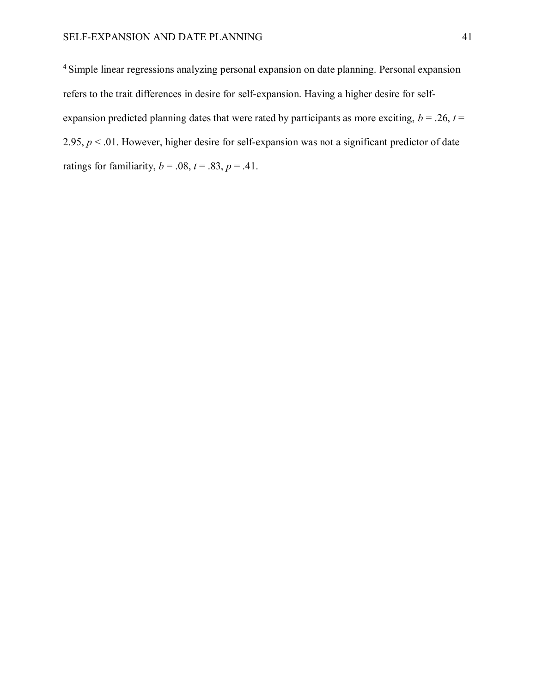<sup>4</sup> Simple linear regressions analyzing personal expansion on date planning. Personal expansion refers to the trait differences in desire for self-expansion. Having a higher desire for selfexpansion predicted planning dates that were rated by participants as more exciting,  $b = .26$ ,  $t =$ 2.95, *p* < .01. However, higher desire for self-expansion was not a significant predictor of date ratings for familiarity,  $b = .08$ ,  $t = .83$ ,  $p = .41$ .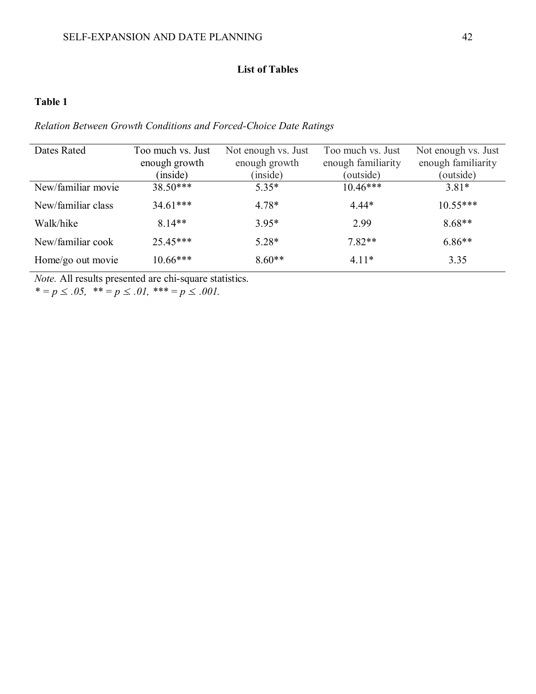# **List of Tables**

# **Table 1**

# *Relation Between Growth Conditions and Forced-Choice Date Ratings*

| Dates Rated        | Too much vs. Just | Not enough vs. Just | Too much vs. Just  | Not enough vs. Just |
|--------------------|-------------------|---------------------|--------------------|---------------------|
|                    | enough growth     | enough growth       | enough familiarity | enough familiarity  |
|                    | (inside)          | (inside)            | (outside)          | (outside)           |
| New/familiar movie | $38.50***$        | $5.35*$             | $10.46***$         | $3.81*$             |
| New/familiar class | $34.61***$        | $4.78*$             | $4.44*$            | $10.55***$          |
| Walk/hike          | $8.14**$          | $3.95*$             | 2.99               | $8.68**$            |
| New/familiar cook  | $25.45***$        | $5.28*$             | $7.82**$           | $6.86**$            |
| Home/go out movie  | $10.66***$        | $8.60**$            | $4.11*$            | 3.35                |

*Note.* All results presented are chi-square statistics.

\*  $=p \le .05$ , \*\*  $=p \le .01$ , \*\*\*  $=p \le .001$ .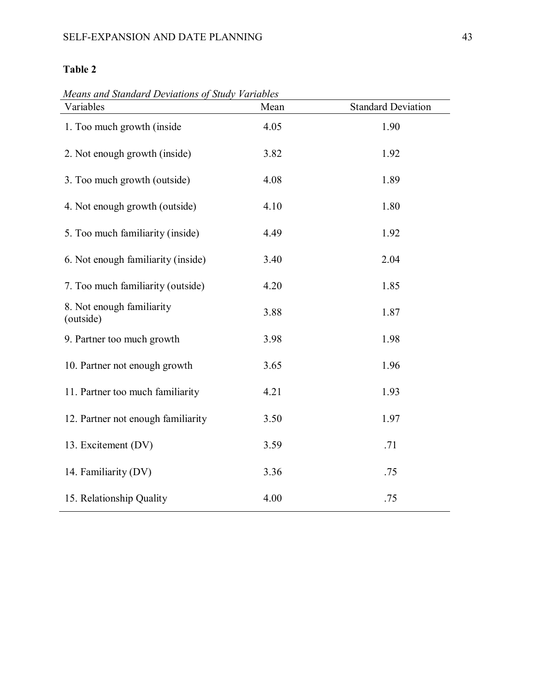*Means and Standard Deviations of Study Variables*

| Variables                              | Mean | <b>Standard Deviation</b> |
|----------------------------------------|------|---------------------------|
| 1. Too much growth (inside)            | 4.05 | 1.90                      |
| 2. Not enough growth (inside)          | 3.82 | 1.92                      |
| 3. Too much growth (outside)           | 4.08 | 1.89                      |
| 4. Not enough growth (outside)         | 4.10 | 1.80                      |
| 5. Too much familiarity (inside)       | 4.49 | 1.92                      |
| 6. Not enough familiarity (inside)     | 3.40 | 2.04                      |
| 7. Too much familiarity (outside)      | 4.20 | 1.85                      |
| 8. Not enough familiarity<br>(outside) | 3.88 | 1.87                      |
| 9. Partner too much growth             | 3.98 | 1.98                      |
| 10. Partner not enough growth          | 3.65 | 1.96                      |
| 11. Partner too much familiarity       | 4.21 | 1.93                      |
| 12. Partner not enough familiarity     | 3.50 | 1.97                      |
| 13. Excitement (DV)                    | 3.59 | .71                       |
| 14. Familiarity (DV)                   | 3.36 | .75                       |
| 15. Relationship Quality               | 4.00 | .75                       |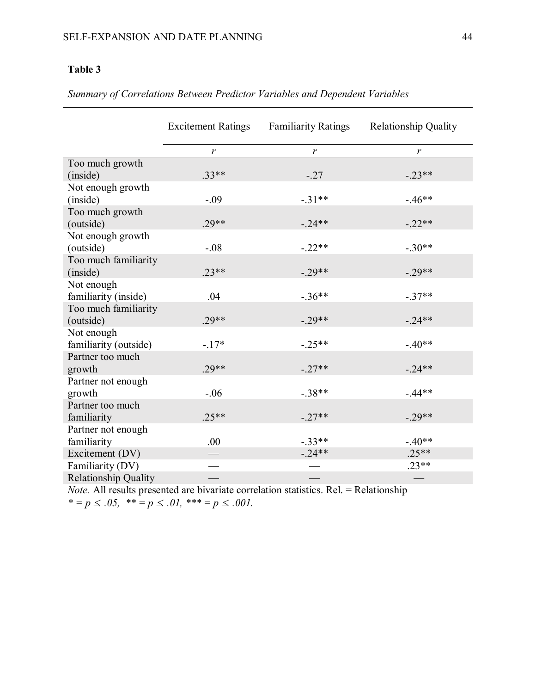|                       | <b>Excitement Ratings</b> | <b>Familiarity Ratings</b> | <b>Relationship Quality</b> |
|-----------------------|---------------------------|----------------------------|-----------------------------|
|                       | $\boldsymbol{r}$          | r                          | $\mathbf{r}$                |
| Too much growth       |                           |                            |                             |
| (inside)              | $.33**$                   | $-.27$                     | $-.23**$                    |
| Not enough growth     |                           |                            |                             |
| (inside)              | $-.09$                    | $-.31**$                   | $-.46**$                    |
| Too much growth       |                           |                            |                             |
| (outside)             | $.29**$                   | $-.24**$                   | $-.22**$                    |
| Not enough growth     |                           |                            |                             |
| (outside)             | $-.08$                    | $-.22**$                   | $-.30**$                    |
| Too much familiarity  |                           |                            |                             |
| (inside)              | $.23**$                   | $-.29**$                   | $-.29**$                    |
| Not enough            |                           |                            |                             |
| familiarity (inside)  | .04                       | $-.36**$                   | $-.37**$                    |
| Too much familiarity  |                           |                            |                             |
| (outside)             | $.29**$                   | $-.29**$                   | $-.24**$                    |
| Not enough            |                           |                            |                             |
| familiarity (outside) | $-.17*$                   | $-.25**$                   | $-.40**$                    |
| Partner too much      |                           |                            |                             |
| growth                | $.29**$                   | $-.27**$                   | $-.24**$                    |
| Partner not enough    |                           |                            |                             |
| growth                | $-.06$                    | $-.38**$                   | $-.44**$                    |
| Partner too much      |                           |                            |                             |
| familiarity           | $.25**$                   | $-.27**$                   | $-.29**$                    |
| Partner not enough    |                           |                            |                             |
| familiarity           | .00                       | $-.33**$                   | $-.40**$                    |
| Excitement (DV)       |                           | $-.24**$                   | $.25**$                     |
| Familiarity (DV)      |                           |                            | $.23**$                     |
| Relationship Quality  |                           |                            |                             |

*Note.* All results presented are bivariate correlation statistics. Rel. = Relationship  $* = p \le .05, * = p \le .01, ** = p \le .001.$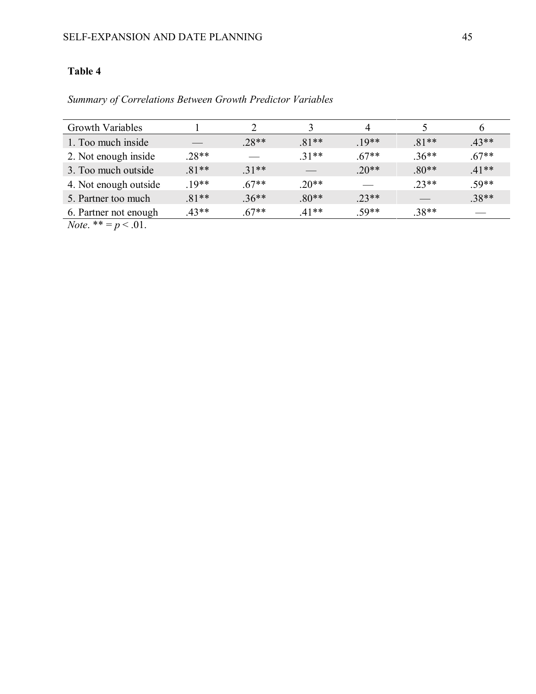*Summary of Correlations Between Growth Predictor Variables*

| <b>Growth Variables</b>                                                                                                                                                                                                                                                                                              |         |         |         |         |         |         |  |
|----------------------------------------------------------------------------------------------------------------------------------------------------------------------------------------------------------------------------------------------------------------------------------------------------------------------|---------|---------|---------|---------|---------|---------|--|
| 1. Too much inside                                                                                                                                                                                                                                                                                                   |         | $.28**$ | $.81**$ | $.19**$ | $.81**$ | $.43**$ |  |
| 2. Not enough inside                                                                                                                                                                                                                                                                                                 | $.28**$ |         | $31**$  | $.67**$ | $.36**$ | $.67**$ |  |
| 3. Too much outside                                                                                                                                                                                                                                                                                                  | $.81**$ | $.31**$ |         | $.20**$ | $.80**$ | $.41**$ |  |
| 4. Not enough outside                                                                                                                                                                                                                                                                                                | $19**$  | $.67**$ | $20**$  |         | $.23**$ | $.59**$ |  |
| 5. Partner too much                                                                                                                                                                                                                                                                                                  | $.81**$ | $.36**$ | $.80**$ | $.23**$ |         | $.38**$ |  |
| 6. Partner not enough                                                                                                                                                                                                                                                                                                | $.43**$ | $.67**$ | $41**$  | $.59**$ | $.38**$ |         |  |
| $\mathbf{v}$ $\mathbf{v}$ and $\mathbf{v}$ and $\mathbf{v}$ and $\mathbf{v}$ and $\mathbf{v}$ and $\mathbf{v}$ and $\mathbf{v}$ and $\mathbf{v}$ and $\mathbf{v}$ and $\mathbf{v}$ and $\mathbf{v}$ and $\mathbf{v}$ and $\mathbf{v}$ and $\mathbf{v}$ and $\mathbf{v}$ and $\mathbf{v}$ and $\mathbf$<br>$\sim$ 0.4 |         |         |         |         |         |         |  |

*Note*. \*\* =  $p < .01$ .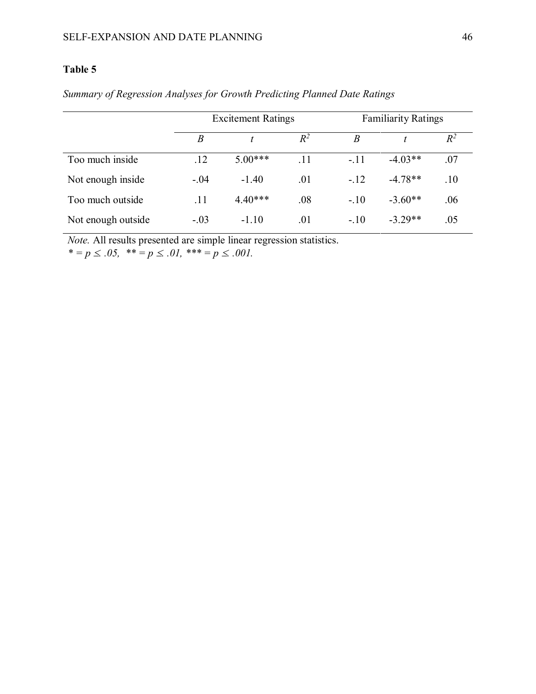|                    | <b>Excitement Ratings</b> |           |       | <b>Familiarity Ratings</b> |           |       |
|--------------------|---------------------------|-----------|-------|----------------------------|-----------|-------|
|                    | B                         |           | $R^2$ | B                          |           | $R^2$ |
| Too much inside    | .12                       | $5.00***$ | .11   | $-.11$                     | $-4.03**$ | .07   |
| Not enough inside  | $-.04$                    | $-1.40$   | .01   | $-.12$                     | $-4.78**$ | .10   |
| Too much outside   | .11                       | $4.40***$ | .08   | $-.10$                     | $-3.60**$ | .06   |
| Not enough outside | $-.03$                    | $-1.10$   | .01   | $-.10$                     | $-3.29**$ | .05   |

# *Summary of Regression Analyses for Growth Predicting Planned Date Ratings*

*Note.* All results presented are simple linear regression statistics.

 $* = p \le .05, \; * = p \le .01, \; * = p \le .001.$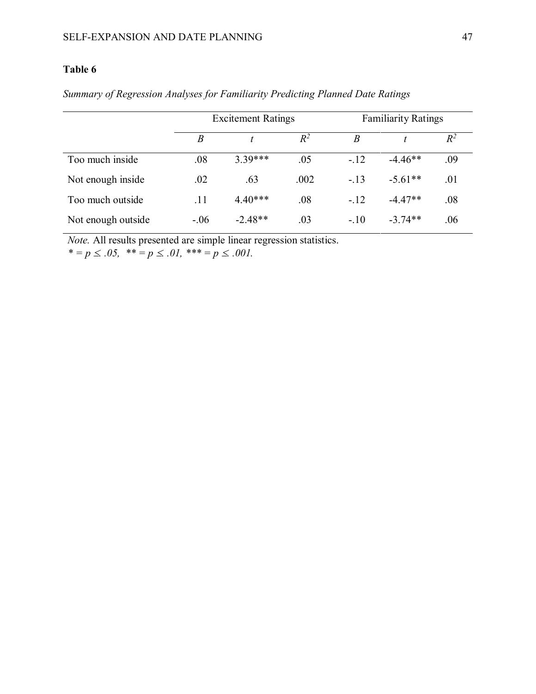|                    | <b>Excitement Ratings</b> |           |       | <b>Familiarity Ratings</b> |           |       |
|--------------------|---------------------------|-----------|-------|----------------------------|-----------|-------|
|                    | B                         |           | $R^2$ | B                          |           | $R^2$ |
| Too much inside    | .08                       | $3.39***$ | .05   | $-.12$                     | $-4.46**$ | .09   |
| Not enough inside  | .02                       | .63       | .002  | $-.13$                     | $-5.61**$ | .01   |
| Too much outside   | .11                       | $4.40***$ | .08   | $-.12$                     | $-4.47**$ | .08   |
| Not enough outside | $-.06$                    | $-2.48**$ | .03   | $-.10$                     | $-3.74**$ | .06   |

*Summary of Regression Analyses for Familiarity Predicting Planned Date Ratings*

*Note.* All results presented are simple linear regression statistics.

 $* = p \le .05, \; * = p \le .01, \; * = p \le .001.$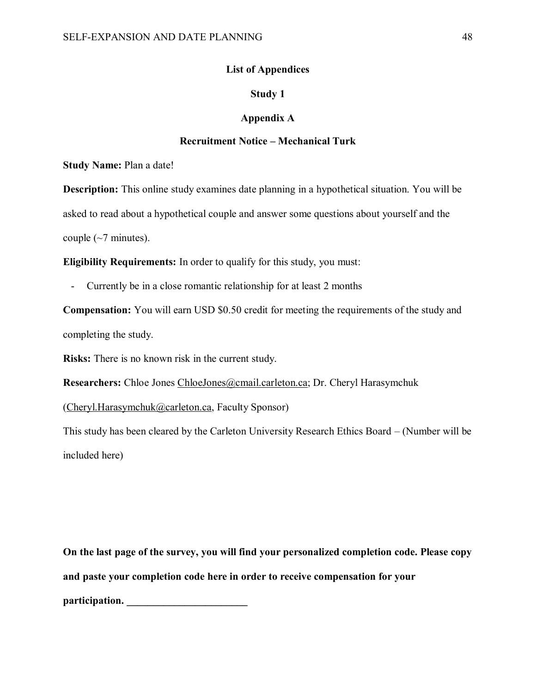# **List of Appendices**

# **Study 1**

#### **Appendix A**

# **Recruitment Notice – Mechanical Turk**

**Study Name:** Plan a date!

**Description:** This online study examines date planning in a hypothetical situation. You will be asked to read about a hypothetical couple and answer some questions about yourself and the couple  $(\sim 7 \text{ minutes})$ .

**Eligibility Requirements:** In order to qualify for this study, you must:

Currently be in a close romantic relationship for at least 2 months

**Compensation:** You will earn USD \$0.50 credit for meeting the requirements of the study and completing the study.

**Risks:** There is no known risk in the current study.

Researchers: Chloe Jones [ChloeJones@cmail.carleton.ca;](mailto:ChloeJones@cmail.carleton.ca) Dr. Cheryl Harasymchuk

[\(Cheryl.Harasymchuk@carleton.ca,](mailto:Cheryl.Harasymchuk@carleton.ca) Faculty Sponsor)

This study has been cleared by the Carleton University Research Ethics Board – (Number will be included here)

**On the last page of the survey, you will find your personalized completion code. Please copy and paste your completion code here in order to receive compensation for your participation. \_\_\_\_\_\_\_\_\_\_\_\_\_\_\_\_\_\_\_\_\_\_\_**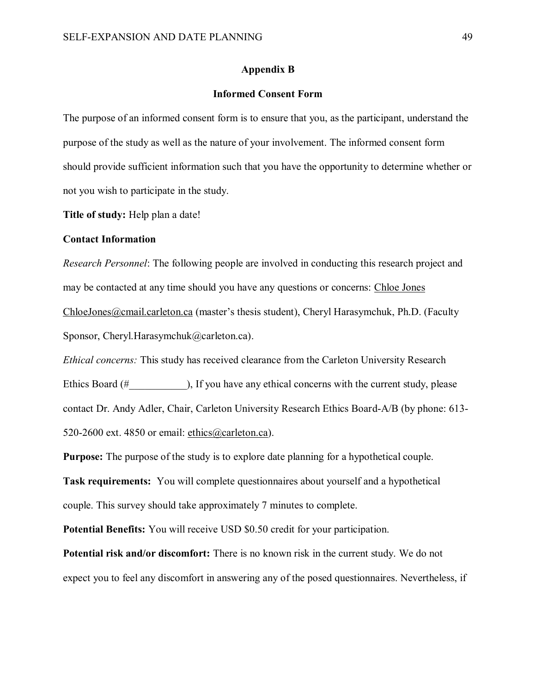#### **Appendix B**

## **Informed Consent Form**

The purpose of an informed consent form is to ensure that you, as the participant, understand the purpose of the study as well as the nature of your involvement. The informed consent form should provide sufficient information such that you have the opportunity to determine whether or not you wish to participate in the study.

**Title of study:** Help plan a date!

#### **Contact Information**

*Research Personnel*: The following people are involved in conducting this research project and may be contacted at any time should you have any questions or concerns: Chloe Jones [ChloeJones@cmail.carleton.ca](mailto:ChloeJones@cmail.carleton.ca) (master's thesis student), Cheryl Harasymchuk, Ph.D. (Faculty Sponsor, Cheryl.Harasymchuk@carleton.ca).

*Ethical concerns:* This study has received clearance from the Carleton University Research Ethics Board (#  $\qquad \qquad$  ), If you have any ethical concerns with the current study, please contact Dr. Andy Adler, Chair, Carleton University Research Ethics Board-A/B (by phone: 613- 520-2600 ext. 4850 or email: [ethics@carleton.ca\)](mailto:ethics@carleton.ca).

**Purpose:** The purpose of the study is to explore date planning for a hypothetical couple. **Task requirements:** You will complete questionnaires about yourself and a hypothetical couple. This survey should take approximately 7 minutes to complete.

**Potential Benefits:** You will receive USD \$0.50 credit for your participation.

**Potential risk and/or discomfort:** There is no known risk in the current study. We do not expect you to feel any discomfort in answering any of the posed questionnaires. Nevertheless, if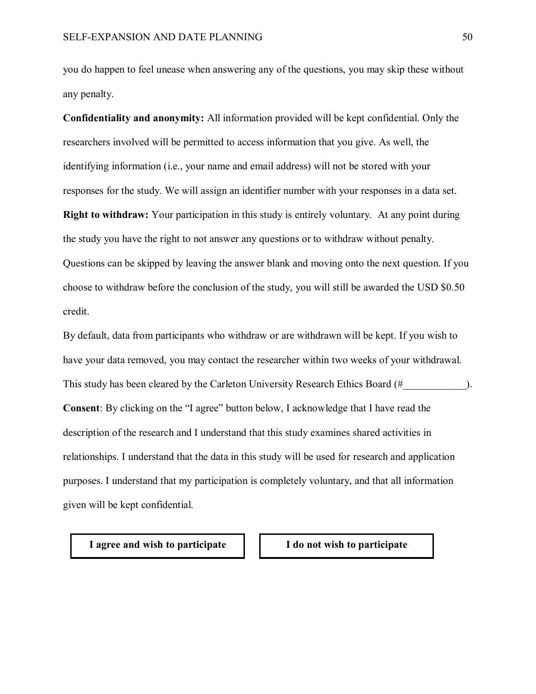you do happen to feel unease when answering any of the questions, you may skip these without any penalty.

**Confidentiality and anonymity:** All information provided will be kept confidential. Only the researchers involved will be permitted to access information that you give. As well, the identifying information (i.e., your name and email address) will not be stored with your responses for the study. We will assign an identifier number with your responses in a data set. **Right to withdraw:** Your participation in this study is entirely voluntary. At any point during the study you have the right to not answer any questions or to withdraw without penalty. Questions can be skipped by leaving the answer blank and moving onto the next question. If you choose to withdraw before the conclusion of the study, you will still be awarded the USD \$0.50 credit.

By default, data from participants who withdraw or are withdrawn will be kept. If you wish to have your data removed, you may contact the researcher within two weeks of your withdrawal. This study has been cleared by the Carleton University Research Ethics Board (#  $\qquad \qquad$  ). **Consent**: By clicking on the "I agree" button below, I acknowledge that I have read the description of the research and I understand that this study examines shared activities in relationships. I understand that the data in this study will be used for research and application purposes. I understand that my participation is completely voluntary, and that all information given will be kept confidential.

**I agree and wish to participate I do not wish to participate**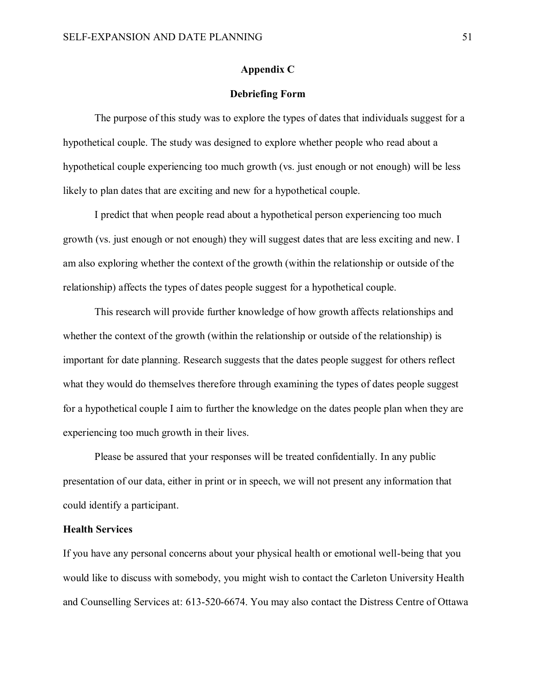#### **Appendix C**

#### **Debriefing Form**

The purpose of this study was to explore the types of dates that individuals suggest for a hypothetical couple. The study was designed to explore whether people who read about a hypothetical couple experiencing too much growth (vs. just enough or not enough) will be less likely to plan dates that are exciting and new for a hypothetical couple.

I predict that when people read about a hypothetical person experiencing too much growth (vs. just enough or not enough) they will suggest dates that are less exciting and new. I am also exploring whether the context of the growth (within the relationship or outside of the relationship) affects the types of dates people suggest for a hypothetical couple.

This research will provide further knowledge of how growth affects relationships and whether the context of the growth (within the relationship or outside of the relationship) is important for date planning. Research suggests that the dates people suggest for others reflect what they would do themselves therefore through examining the types of dates people suggest for a hypothetical couple I aim to further the knowledge on the dates people plan when they are experiencing too much growth in their lives.

Please be assured that your responses will be treated confidentially. In any public presentation of our data, either in print or in speech, we will not present any information that could identify a participant.

## **Health Services**

If you have any personal concerns about your physical health or emotional well-being that you would like to discuss with somebody, you might wish to contact the Carleton University Health and Counselling Services at: [613-520-6674.](tel:613-520-6674) You may also contact the Distress Centre of Ottawa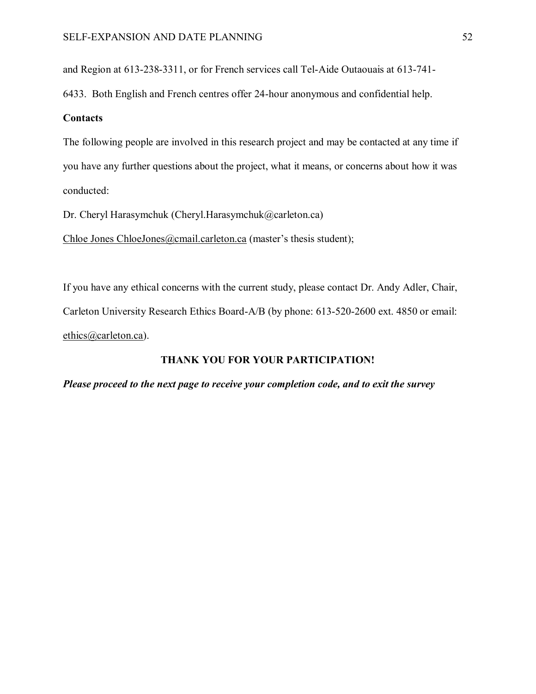and Region at [613-238-3311,](tel:613-238-3311) or for French services call Tel-Aide Outaouais at [613-741-](tel:613-741-6433)

[6433.](tel:613-741-6433) Both English and French centres offer 24-hour anonymous and confidential help.

#### **Contacts**

The following people are involved in this research project and may be contacted at any time if you have any further questions about the project, what it means, or concerns about how it was conducted:

Dr. Cheryl Harasymchuk (Cheryl.Harasymchuk@carleton.ca)

Chloe Jones [ChloeJones@cmail.carleton.ca](mailto:ChloeJones@cmail.carleton.ca) (master's thesis student);

If you have any ethical concerns with the current study, please contact Dr. Andy Adler, Chair, Carleton University Research Ethics Board-A/B (by phone: 613-520-2600 ext. 4850 or email: [ethics@carleton.ca\)](mailto:ethics@carleton.ca).

#### **THANK YOU FOR YOUR PARTICIPATION!**

#### *Please proceed to the next page to receive your completion code, and to exit the survey*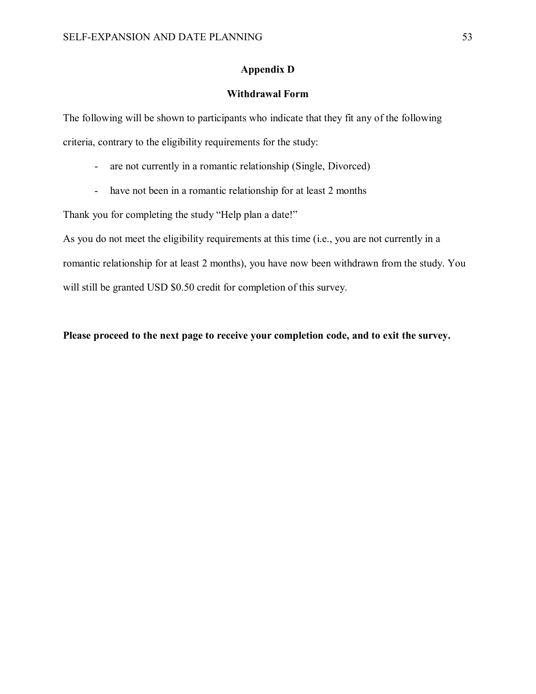## **Appendix D**

## **Withdrawal Form**

The following will be shown to participants who indicate that they fit any of the following criteria, contrary to the eligibility requirements for the study:

- are not currently in a romantic relationship (Single, Divorced)
- have not been in a romantic relationship for at least 2 months

Thank you for completing the study "Help plan a date!"

As you do not meet the eligibility requirements at this time (i.e., you are not currently in a romantic relationship for at least 2 months), you have now been withdrawn from the study. You will still be granted USD \$0.50 credit for completion of this survey.

**Please proceed to the next page to receive your completion code, and to exit the survey.**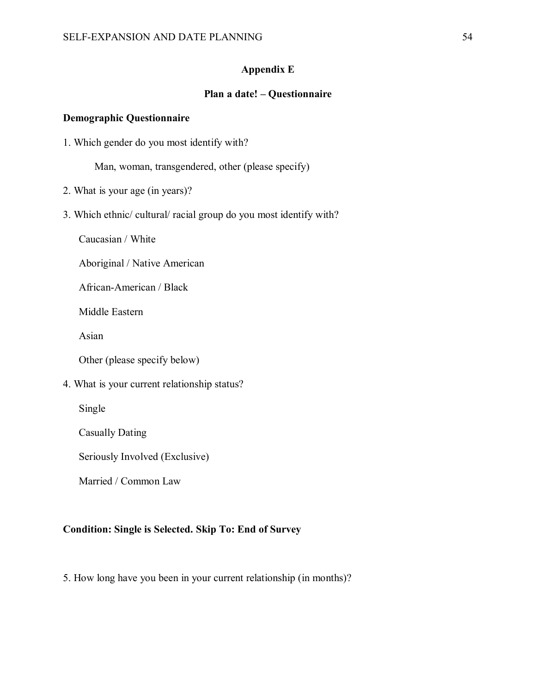# **Appendix E**

# **Plan a date! – Questionnaire**

#### **Demographic Questionnaire**

1. Which gender do you most identify with?

Man, woman, transgendered, other (please specify)

- 2. What is your age (in years)?
- 3. Which ethnic/ cultural/ racial group do you most identify with?

Caucasian / White

Aboriginal / Native American

African-American / Black

Middle Eastern

Asian

Other (please specify below)

4. What is your current relationship status?

Single

Casually Dating

Seriously Involved (Exclusive)

Married / Common Law

# **Condition: Single is Selected. Skip To: End of Survey**

5. How long have you been in your current relationship (in months)?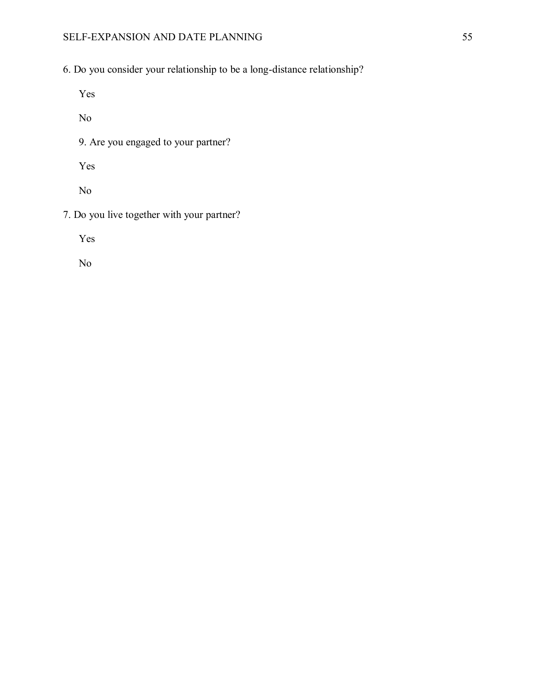6. Do you consider your relationship to be a long-distance relationship?

Yes

No

9. Are you engaged to your partner?

Yes

No

7. Do you live together with your partner?

Yes

No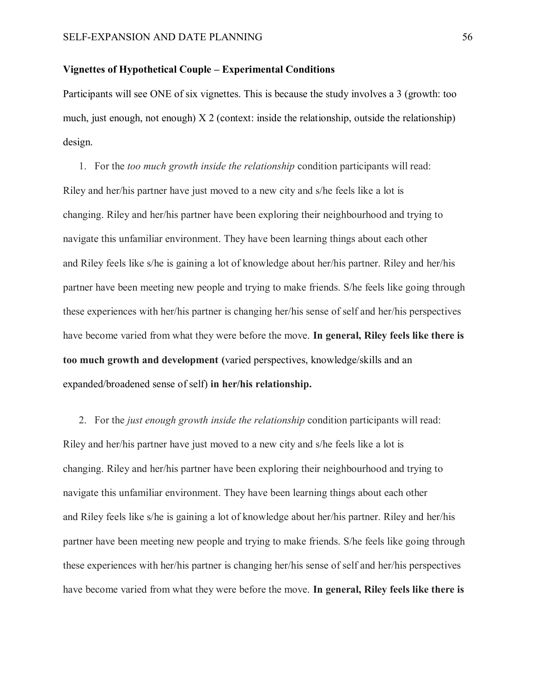## **Vignettes of Hypothetical Couple – Experimental Conditions**

Participants will see ONE of six vignettes. This is because the study involves a 3 (growth: too much, just enough, not enough) X 2 (context: inside the relationship, outside the relationship) design.

1. For the *too much growth inside the relationship* condition participants will read: Riley and her/his partner have just moved to a new city and s/he feels like a lot is changing. Riley and her/his partner have been exploring their neighbourhood and trying to navigate this unfamiliar environment. They have been learning things about each other and Riley feels like s/he is gaining a lot of knowledge about her/his partner. Riley and her/his partner have been meeting new people and trying to make friends. S/he feels like going through these experiences with her/his partner is changing her/his sense of self and her/his perspectives have become varied from what they were before the move. **In general, Riley feels like there is too much growth and development (**varied perspectives, knowledge/skills and an expanded/broadened sense of self) **in her/his relationship.**

2. For the *just enough growth inside the relationship* condition participants will read: Riley and her/his partner have just moved to a new city and s/he feels like a lot is changing. Riley and her/his partner have been exploring their neighbourhood and trying to navigate this unfamiliar environment. They have been learning things about each other and Riley feels like s/he is gaining a lot of knowledge about her/his partner. Riley and her/his partner have been meeting new people and trying to make friends. S/he feels like going through these experiences with her/his partner is changing her/his sense of self and her/his perspectives have become varied from what they were before the move. **In general, Riley feels like there is**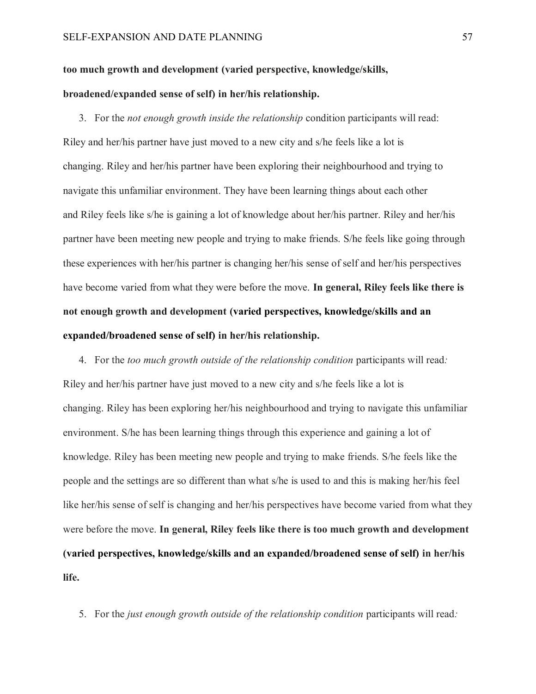# **too much growth and development (varied perspective, knowledge/skills, broadened/expanded sense of self) in her/his relationship.**

3. For the *not enough growth inside the relationship* condition participants will read: Riley and her/his partner have just moved to a new city and s/he feels like a lot is changing. Riley and her/his partner have been exploring their neighbourhood and trying to navigate this unfamiliar environment. They have been learning things about each other and Riley feels like s/he is gaining a lot of knowledge about her/his partner. Riley and her/his partner have been meeting new people and trying to make friends. S/he feels like going through these experiences with her/his partner is changing her/his sense of self and her/his perspectives have become varied from what they were before the move. **In general, Riley feels like there is not enough growth and development (varied perspectives, knowledge/skills and an expanded/broadened sense of self) in her/his relationship.**

4. For the *too much growth outside of the relationship condition* participants will read*:* Riley and her/his partner have just moved to a new city and s/he feels like a lot is changing. Riley has been exploring her/his neighbourhood and trying to navigate this unfamiliar environment. S/he has been learning things through this experience and gaining a lot of knowledge. Riley has been meeting new people and trying to make friends. S/he feels like the people and the settings are so different than what s/he is used to and this is making her/his feel like her/his sense of self is changing and her/his perspectives have become varied from what they were before the move. **In general, Riley feels like there is too much growth and development (varied perspectives, knowledge/skills and an expanded/broadened sense of self) in her/his life.**

5. For the *just enough growth outside of the relationship condition* participants will read*:*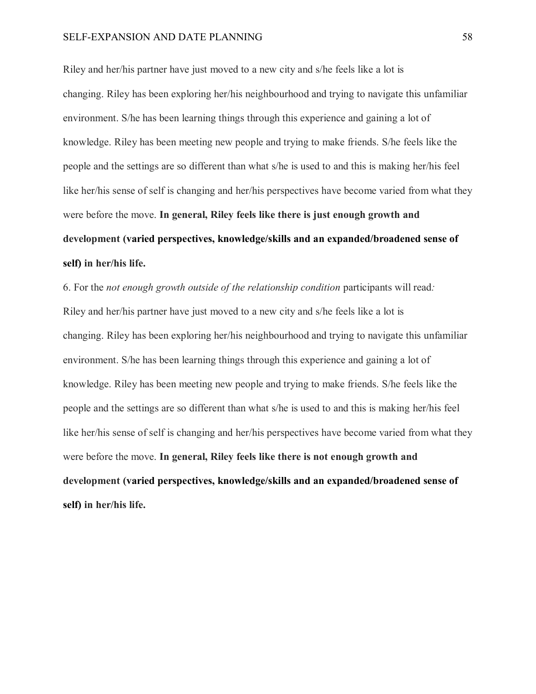#### SELF-EXPANSION AND DATE PLANNING 58

Riley and her/his partner have just moved to a new city and s/he feels like a lot is changing. Riley has been exploring her/his neighbourhood and trying to navigate this unfamiliar environment. S/he has been learning things through this experience and gaining a lot of knowledge. Riley has been meeting new people and trying to make friends. S/he feels like the people and the settings are so different than what s/he is used to and this is making her/his feel like her/his sense of self is changing and her/his perspectives have become varied from what they were before the move. **In general, Riley feels like there is just enough growth and development (varied perspectives, knowledge/skills and an expanded/broadened sense of self) in her/his life.**

6. For the *not enough growth outside of the relationship condition* participants will read*:* Riley and her/his partner have just moved to a new city and s/he feels like a lot is changing. Riley has been exploring her/his neighbourhood and trying to navigate this unfamiliar environment. S/he has been learning things through this experience and gaining a lot of knowledge. Riley has been meeting new people and trying to make friends. S/he feels like the people and the settings are so different than what s/he is used to and this is making her/his feel like her/his sense of self is changing and her/his perspectives have become varied from what they were before the move. **In general, Riley feels like there is not enough growth and development (varied perspectives, knowledge/skills and an expanded/broadened sense of self) in her/his life.**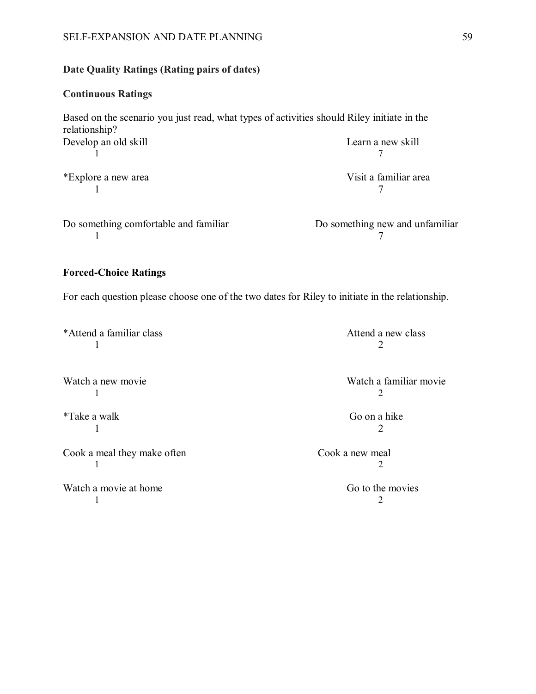# SELF-EXPANSION AND DATE PLANNING 59

# **Date Quality Ratings (Rating pairs of dates)**

# **Continuous Ratings**

Based on the scenario you just read, what types of activities should Riley initiate in the relationship? Develop an old skill Learn a new skill 1 a  $\overline{7}$ \*Explore a new area Visit a familiar area 1 a  $\overline{7}$ Do something comfortable and familiar Do something new and unfamiliar 1 a  $\overline{7}$ 

# **Forced-Choice Ratings**

For each question please choose one of the two dates for Riley to initiate in the relationship.

\*Attend a familiar class Attend a new class 1 2

Watch a new movie Watch a familiar movie 1 2

Cook a meal they make often Cook a new meal 1 2

Watch a movie at home Go to the movies 1 2

\*Take a walk Go on a hike 1 2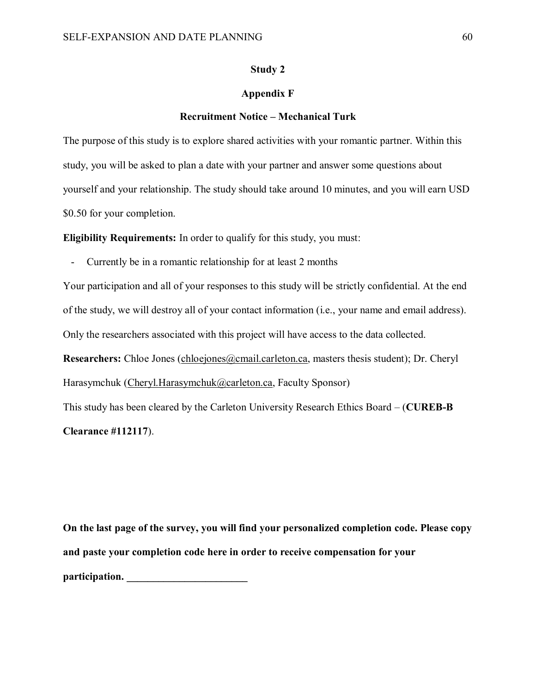## **Study 2**

## **Appendix F**

#### **Recruitment Notice – Mechanical Turk**

The purpose of this study is to explore shared activities with your romantic partner. Within this study, you will be asked to plan a date with your partner and answer some questions about yourself and your relationship. The study should take around 10 minutes, and you will earn USD \$0.50 for your completion.

**Eligibility Requirements:** In order to qualify for this study, you must:

Currently be in a romantic relationship for at least 2 months

Your participation and all of your responses to this study will be strictly confidential. At the end of the study, we will destroy all of your contact information (i.e., your name and email address). Only the researchers associated with this project will have access to the data collected.

**Researchers:** Chloe Jones [\(chloejones@cmail.carleton.ca,](mailto:chloejones@cmail.carleton.ca) masters thesis student); Dr. Cheryl Harasymchuk [\(Cheryl.Harasymchuk@carleton.ca,](mailto:Cheryl.Harasymchuk@carleton.ca) Faculty Sponsor)

This study has been cleared by the Carleton University Research Ethics Board – (**CUREB-B** 

**Clearance #112117**).

**On the last page of the survey, you will find your personalized completion code. Please copy and paste your completion code here in order to receive compensation for your participation.**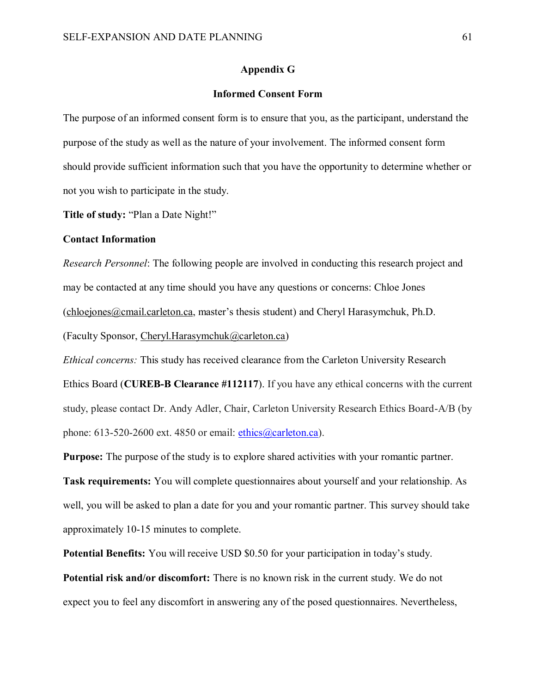#### **Appendix G**

## **Informed Consent Form**

The purpose of an informed consent form is to ensure that you, as the participant, understand the purpose of the study as well as the nature of your involvement. The informed consent form should provide sufficient information such that you have the opportunity to determine whether or not you wish to participate in the study.

**Title of study:** "Plan a Date Night!"

#### **Contact Information**

*Research Personnel*: The following people are involved in conducting this research project and may be contacted at any time should you have any questions or concerns: Chloe Jones [\(chloejones@cmail.carleton.ca](mailto:chloejones@cmail.carleton.ca), master's thesis student) and Cheryl Harasymchuk, Ph.D.

(Faculty Sponsor, [Cheryl.Harasymchuk@carleton.ca\)](mailto:Cheryl.Harasymchuk@carleton.ca)

*Ethical concerns:* This study has received clearance from the Carleton University Research

Ethics Board (**CUREB-B Clearance #112117**). If you have any ethical concerns with the current study, please contact Dr. Andy Adler, Chair, Carleton University Research Ethics Board-A/B (by phone:  $613-520-2600$  ext.  $4850$  or email: ethics  $@carleton.ca)$ .

**Purpose:** The purpose of the study is to explore shared activities with your romantic partner.

**Task requirements:** You will complete questionnaires about yourself and your relationship. As well, you will be asked to plan a date for you and your romantic partner. This survey should take approximately 10-15 minutes to complete.

**Potential Benefits:** You will receive USD \$0.50 for your participation in today's study. **Potential risk and/or discomfort:** There is no known risk in the current study. We do not expect you to feel any discomfort in answering any of the posed questionnaires. Nevertheless,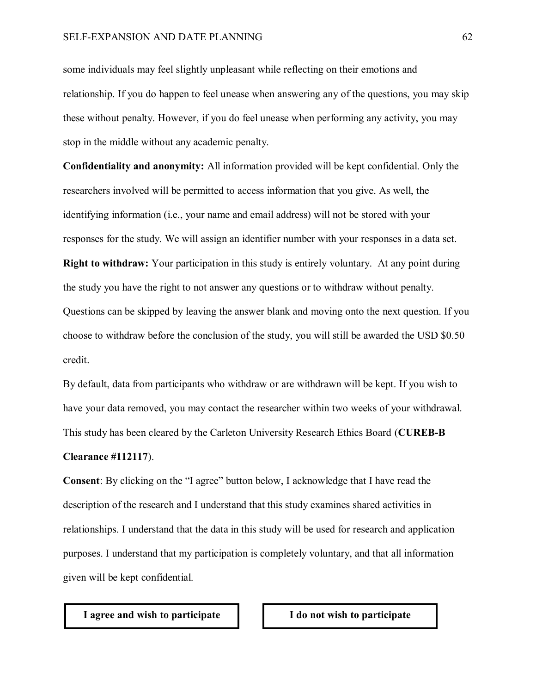some individuals may feel slightly unpleasant while reflecting on their emotions and relationship. If you do happen to feel unease when answering any of the questions, you may skip these without penalty. However, if you do feel unease when performing any activity, you may stop in the middle without any academic penalty.

**Confidentiality and anonymity:** All information provided will be kept confidential. Only the researchers involved will be permitted to access information that you give. As well, the identifying information (i.e., your name and email address) will not be stored with your responses for the study. We will assign an identifier number with your responses in a data set.

**Right to withdraw:** Your participation in this study is entirely voluntary. At any point during the study you have the right to not answer any questions or to withdraw without penalty. Questions can be skipped by leaving the answer blank and moving onto the next question. If you choose to withdraw before the conclusion of the study, you will still be awarded the USD \$0.50 credit.

By default, data from participants who withdraw or are withdrawn will be kept. If you wish to have your data removed, you may contact the researcher within two weeks of your withdrawal. This study has been cleared by the Carleton University Research Ethics Board (**CUREB-B** 

#### **Clearance #112117**).

**Consent**: By clicking on the "I agree" button below, I acknowledge that I have read the description of the research and I understand that this study examines shared activities in relationships. I understand that the data in this study will be used for research and application purposes. I understand that my participation is completely voluntary, and that all information given will be kept confidential.

#### **I agree and wish to participate I do not wish to participate**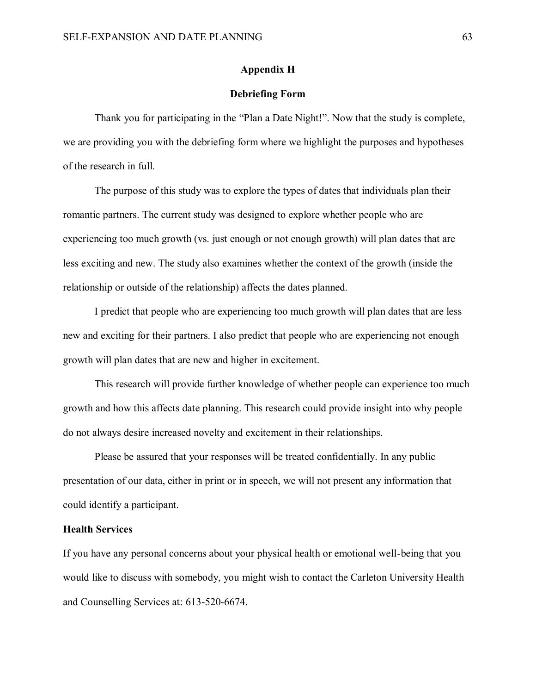#### **Appendix H**

#### **Debriefing Form**

Thank you for participating in the "Plan a Date Night!". Now that the study is complete, we are providing you with the debriefing form where we highlight the purposes and hypotheses of the research in full.

The purpose of this study was to explore the types of dates that individuals plan their romantic partners. The current study was designed to explore whether people who are experiencing too much growth (vs. just enough or not enough growth) will plan dates that are less exciting and new. The study also examines whether the context of the growth (inside the relationship or outside of the relationship) affects the dates planned.

I predict that people who are experiencing too much growth will plan dates that are less new and exciting for their partners. I also predict that people who are experiencing not enough growth will plan dates that are new and higher in excitement.

This research will provide further knowledge of whether people can experience too much growth and how this affects date planning. This research could provide insight into why people do not always desire increased novelty and excitement in their relationships.

Please be assured that your responses will be treated confidentially. In any public presentation of our data, either in print or in speech, we will not present any information that could identify a participant.

## **Health Services**

If you have any personal concerns about your physical health or emotional well-being that you would like to discuss with somebody, you might wish to contact the Carleton University Health and Counselling Services at: [613-520-6674.](tel:613-520-6674)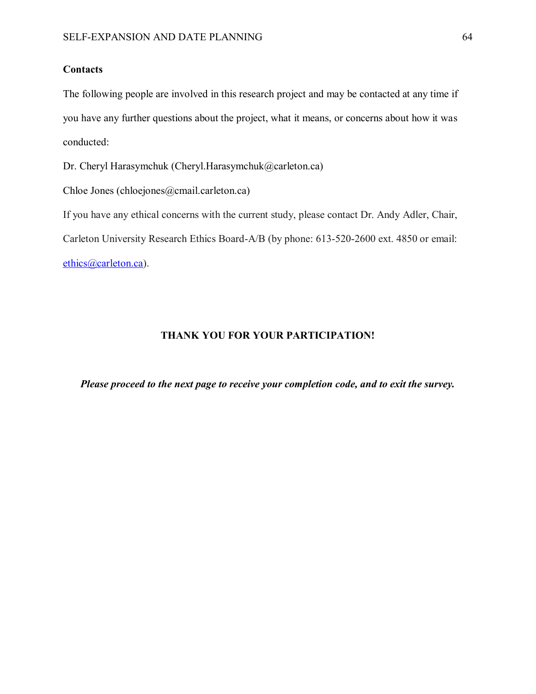# **Contacts**

The following people are involved in this research project and may be contacted at any time if you have any further questions about the project, what it means, or concerns about how it was conducted:

Dr. Cheryl Harasymchuk (Cheryl.Harasymchuk@carleton.ca)

Chloe Jones (chloejones@cmail.carleton.ca)

If you have any ethical concerns with the current study, please contact Dr. Andy Adler, Chair, Carleton University Research Ethics Board-A/B (by phone: 613-520-2600 ext. 4850 or email: [ethics@carleton.ca\)](mailto:ethics@carleton.ca).

## **THANK YOU FOR YOUR PARTICIPATION!**

*Please proceed to the next page to receive your completion code, and to exit the survey.*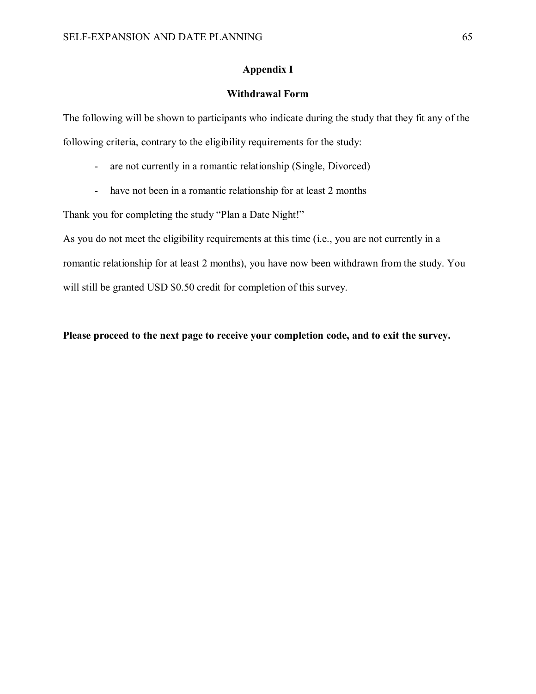## **Appendix I**

# **Withdrawal Form**

The following will be shown to participants who indicate during the study that they fit any of the following criteria, contrary to the eligibility requirements for the study:

- are not currently in a romantic relationship (Single, Divorced)
- have not been in a romantic relationship for at least 2 months

Thank you for completing the study "Plan a Date Night!"

As you do not meet the eligibility requirements at this time (i.e., you are not currently in a romantic relationship for at least 2 months), you have now been withdrawn from the study. You will still be granted USD \$0.50 credit for completion of this survey.

**Please proceed to the next page to receive your completion code, and to exit the survey.**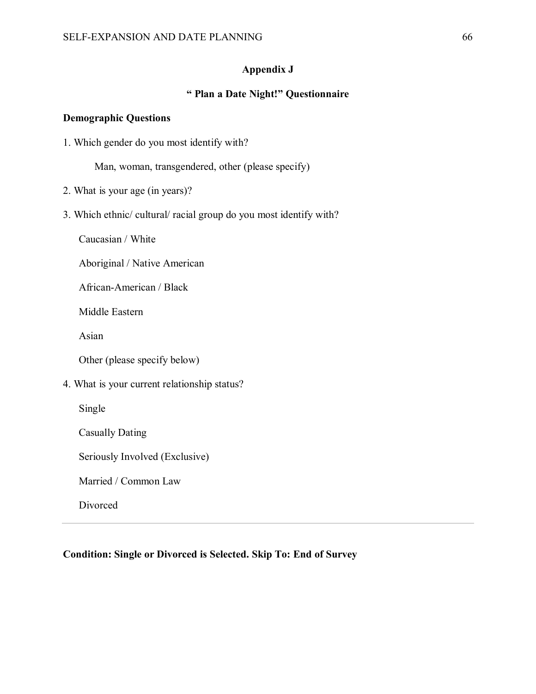## **Appendix J**

# **" Plan a Date Night!" Questionnaire**

#### **Demographic Questions**

1. Which gender do you most identify with?

Man, woman, transgendered, other (please specify)

- 2. What is your age (in years)?
- 3. Which ethnic/ cultural/ racial group do you most identify with?

Caucasian / White

Aboriginal / Native American

African-American / Black

Middle Eastern

Asian

Other (please specify below)

4. What is your current relationship status?

Single

Casually Dating

Seriously Involved (Exclusive)

Married / Common Law

Divorced

### **Condition: Single or Divorced is Selected. Skip To: End of Survey**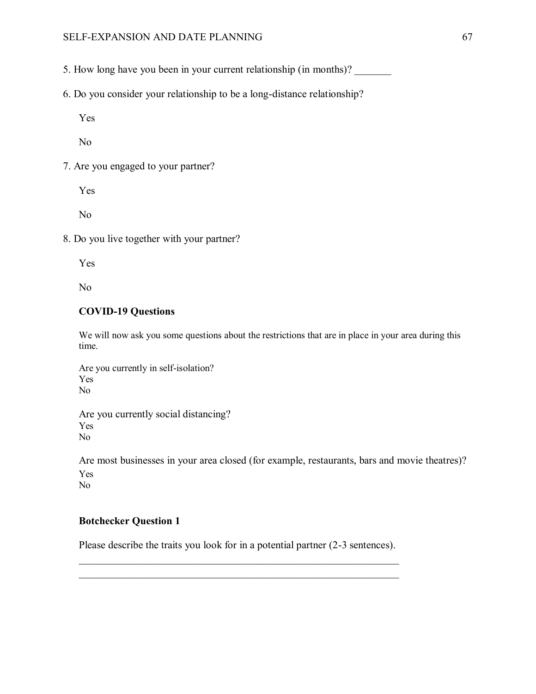- 5. How long have you been in your current relationship (in months)?
- 6. Do you consider your relationship to be a long-distance relationship?

Yes

No

7. Are you engaged to your partner?

Yes

No

8. Do you live together with your partner?

Yes

No

## **COVID-19 Questions**

We will now ask you some questions about the restrictions that are in place in your area during this time.

Are you currently in self-isolation? Yes No

Are you currently social distancing? Yes No

Are most businesses in your area closed (for example, restaurants, bars and movie theatres)? Yes No

#### **Botchecker Question 1**

Please describe the traits you look for in a potential partner (2-3 sentences).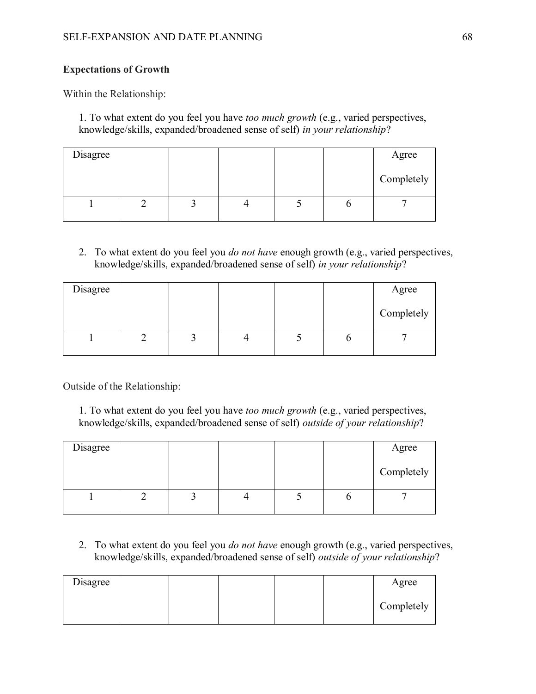## **Expectations of Growth**

Within the Relationship:

1. To what extent do you feel you have *too much growth* (e.g., varied perspectives, knowledge/skills, expanded/broadened sense of self) *in your relationship*?

| Disagree |  |  | Agree      |
|----------|--|--|------------|
|          |  |  | Completely |
|          |  |  |            |

2. To what extent do you feel you *do not have* enough growth (e.g., varied perspectives, knowledge/skills, expanded/broadened sense of self) *in your relationship*?

| Disagree |  |  | Agree      |
|----------|--|--|------------|
|          |  |  | Completely |
|          |  |  |            |

Outside of the Relationship:

1. To what extent do you feel you have *too much growth* (e.g., varied perspectives, knowledge/skills, expanded/broadened sense of self) *outside of your relationship*?

| Disagree |  |  | Agree      |
|----------|--|--|------------|
|          |  |  | Completely |
|          |  |  |            |

2. To what extent do you feel you *do not have* enough growth (e.g., varied perspectives, knowledge/skills, expanded/broadened sense of self) *outside of your relationship*?

| Disagree |  |  | Agree      |
|----------|--|--|------------|
|          |  |  | Completely |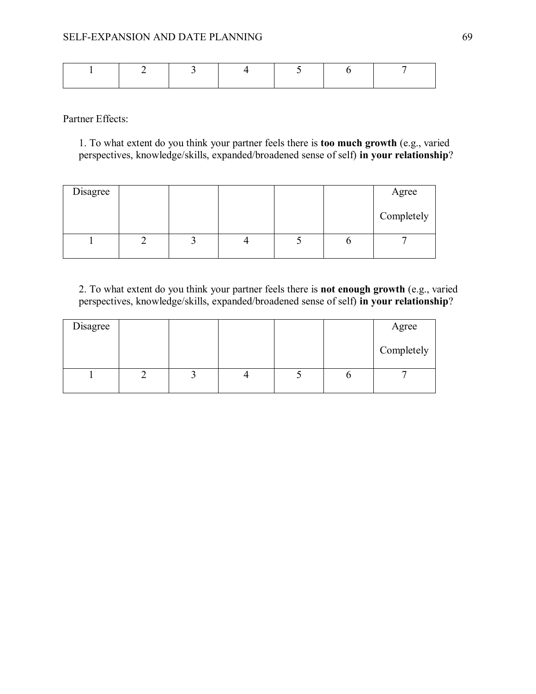Partner Effects:

1. To what extent do you think your partner feels there is **too much growth** (e.g., varied perspectives, knowledge/skills, expanded/broadened sense of self) **in your relationship**?

| Disagree |  |  | Agree      |
|----------|--|--|------------|
|          |  |  | Completely |
|          |  |  |            |

2. To what extent do you think your partner feels there is **not enough growth** (e.g., varied perspectives, knowledge/skills, expanded/broadened sense of self) **in your relationship**?

| Disagree |  |  | Agree      |
|----------|--|--|------------|
|          |  |  | Completely |
|          |  |  |            |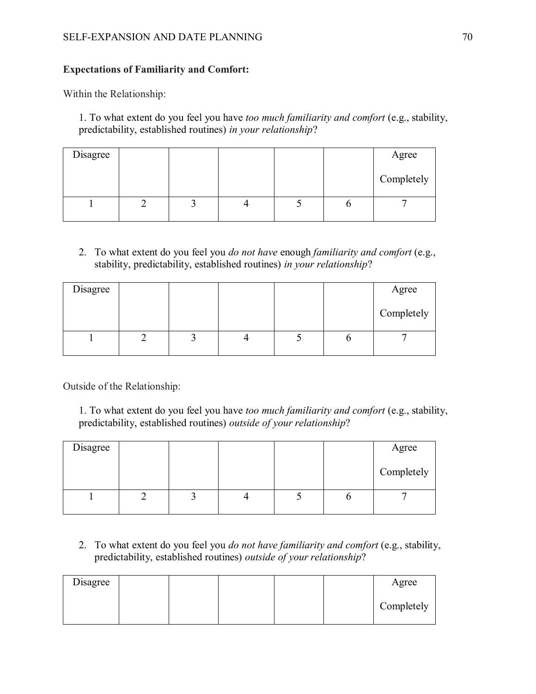## SELF-EXPANSION AND DATE PLANNING 70

## **Expectations of Familiarity and Comfort:**

Within the Relationship:

1. To what extent do you feel you have *too much familiarity and comfort* (e.g., stability, predictability, established routines) *in your relationship*?

| Disagree |  |  | Agree      |
|----------|--|--|------------|
|          |  |  | Completely |
|          |  |  |            |

2. To what extent do you feel you *do not have* enough *familiarity and comfort* (e.g., stability, predictability, established routines) *in your relationship*?

| Disagree |  |  | Agree      |
|----------|--|--|------------|
|          |  |  | Completely |
|          |  |  |            |

Outside of the Relationship:

1. To what extent do you feel you have *too much familiarity and comfort* (e.g., stability, predictability, established routines) *outside of your relationship*?

| Disagree |  |  | Agree      |
|----------|--|--|------------|
|          |  |  | Completely |
|          |  |  |            |

2. To what extent do you feel you *do not have familiarity and comfort* (e.g., stability, predictability, established routines) *outside of your relationship*?

| Disagree |  |  | Agree      |
|----------|--|--|------------|
|          |  |  | Completely |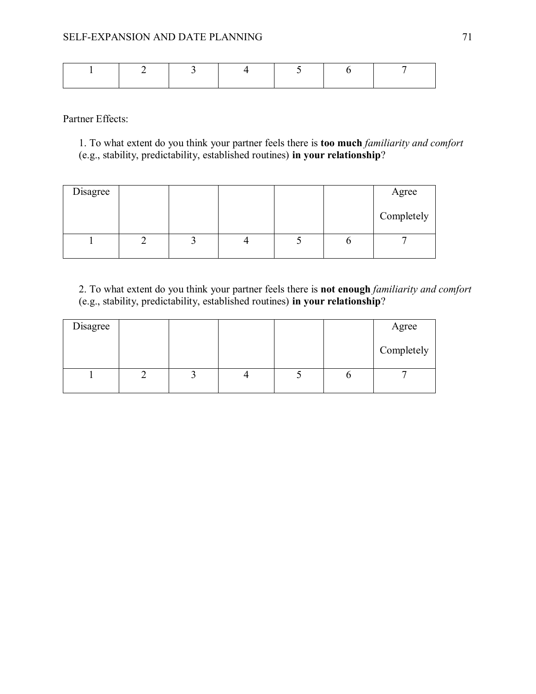Partner Effects:

1. To what extent do you think your partner feels there is **too much** *familiarity and comfort* (e.g., stability, predictability, established routines) **in your relationship**?

| Disagree |  |  | Agree      |
|----------|--|--|------------|
|          |  |  | Completely |
|          |  |  |            |

2. To what extent do you think your partner feels there is **not enough** *familiarity and comfort* (e.g., stability, predictability, established routines) **in your relationship**?

| Disagree |  |  | Agree      |
|----------|--|--|------------|
|          |  |  | Completely |
|          |  |  |            |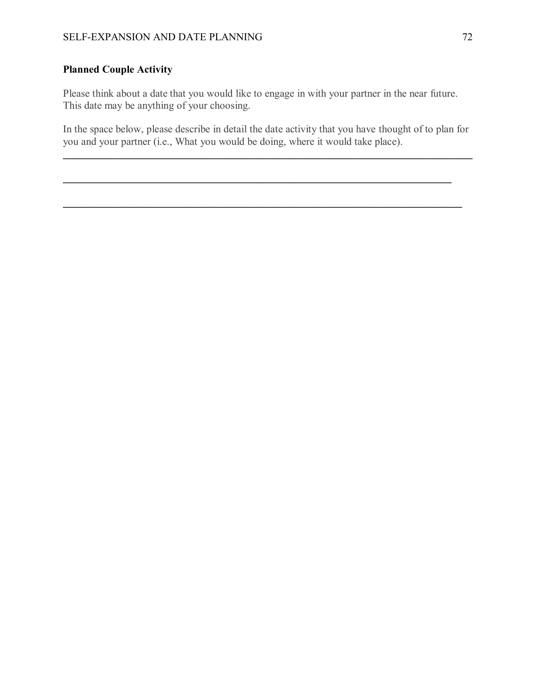# **Planned Couple Activity**

Please think about a date that you would like to engage in with your partner in the near future. This date may be anything of your choosing.

In the space below, please describe in detail the date activity that you have thought of to plan for you and your partner (i.e., What you would be doing, where it would take place).

 $\mathcal{L}_\mathcal{L} = \{ \mathcal{L}_\mathcal{L} = \{ \mathcal{L}_\mathcal{L} = \{ \mathcal{L}_\mathcal{L} = \{ \mathcal{L}_\mathcal{L} = \{ \mathcal{L}_\mathcal{L} = \{ \mathcal{L}_\mathcal{L} = \{ \mathcal{L}_\mathcal{L} = \{ \mathcal{L}_\mathcal{L} = \{ \mathcal{L}_\mathcal{L} = \{ \mathcal{L}_\mathcal{L} = \{ \mathcal{L}_\mathcal{L} = \{ \mathcal{L}_\mathcal{L} = \{ \mathcal{L}_\mathcal{L} = \{ \mathcal{L}_\mathcal{$ 

 $\mathcal{L}_\mathcal{L} = \{ \mathcal{L}_\mathcal{L} = \{ \mathcal{L}_\mathcal{L} = \{ \mathcal{L}_\mathcal{L} = \{ \mathcal{L}_\mathcal{L} = \{ \mathcal{L}_\mathcal{L} = \{ \mathcal{L}_\mathcal{L} = \{ \mathcal{L}_\mathcal{L} = \{ \mathcal{L}_\mathcal{L} = \{ \mathcal{L}_\mathcal{L} = \{ \mathcal{L}_\mathcal{L} = \{ \mathcal{L}_\mathcal{L} = \{ \mathcal{L}_\mathcal{L} = \{ \mathcal{L}_\mathcal{L} = \{ \mathcal{L}_\mathcal{$ 

 $\mathcal{L}_\mathcal{L} = \mathcal{L}_\mathcal{L} = \mathcal{L}_\mathcal{L} = \mathcal{L}_\mathcal{L} = \mathcal{L}_\mathcal{L} = \mathcal{L}_\mathcal{L} = \mathcal{L}_\mathcal{L} = \mathcal{L}_\mathcal{L} = \mathcal{L}_\mathcal{L} = \mathcal{L}_\mathcal{L} = \mathcal{L}_\mathcal{L} = \mathcal{L}_\mathcal{L} = \mathcal{L}_\mathcal{L} = \mathcal{L}_\mathcal{L} = \mathcal{L}_\mathcal{L} = \mathcal{L}_\mathcal{L} = \mathcal{L}_\mathcal{L}$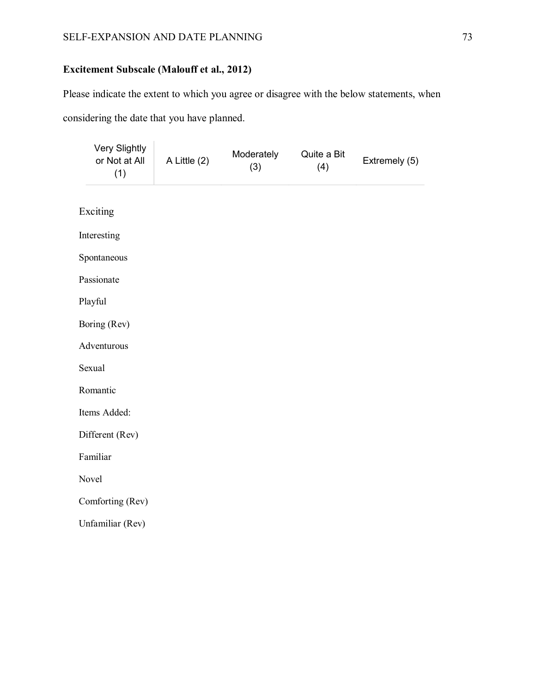# **Excitement Subscale (Malouff et al., 2012)**

Please indicate the extent to which you agree or disagree with the below statements, when considering the date that you have planned.

| Very Slightly<br>or Not at All<br>(1) | A Little (2) | Moderately<br>(3) | Quite a Bit<br>(4) | Extremely (5) |
|---------------------------------------|--------------|-------------------|--------------------|---------------|
| Exciting                              |              |                   |                    |               |
| Interesting                           |              |                   |                    |               |
| Spontaneous                           |              |                   |                    |               |
| Passionate                            |              |                   |                    |               |
| Playful                               |              |                   |                    |               |
| Boring (Rev)                          |              |                   |                    |               |
| Adventurous                           |              |                   |                    |               |
| Sexual                                |              |                   |                    |               |
| Romantic                              |              |                   |                    |               |
| Items Added:                          |              |                   |                    |               |
| Different (Rev)                       |              |                   |                    |               |
| Familiar                              |              |                   |                    |               |
| Novel                                 |              |                   |                    |               |
| Comforting (Rev)                      |              |                   |                    |               |
| Unfamiliar (Rev)                      |              |                   |                    |               |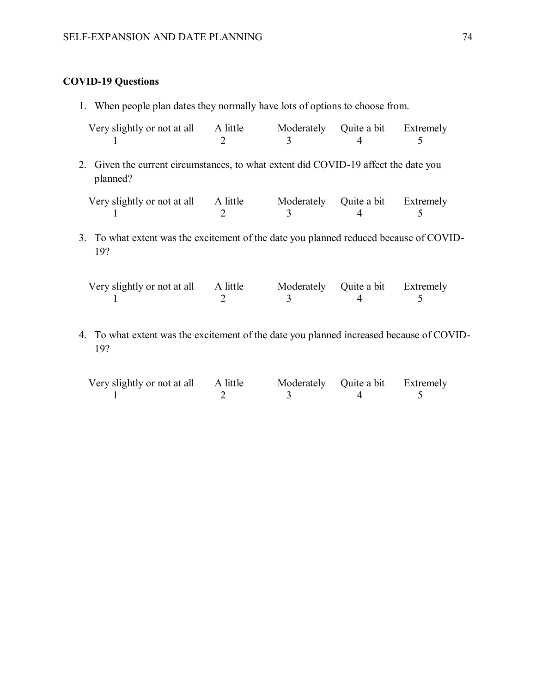# **COVID-19 Questions**

1. When people plan dates they normally have lots of options to choose from.

| Very slightly or not at all                                                                     | A little<br>$\mathcal{D}_{\mathcal{L}}$ | Moderately<br>3 | Quite a bit Extremely |           |  |
|-------------------------------------------------------------------------------------------------|-----------------------------------------|-----------------|-----------------------|-----------|--|
| 2. Given the current circumstances, to what extent did COVID-19 affect the date you<br>planned? |                                         |                 |                       |           |  |
| Very slightly or not at all                                                                     | A little<br>$\mathcal{D}$               | Moderately<br>3 | Quite a bit           | Extremely |  |
| 3. To what extent was the excitement of the date you planned reduced because of COVID-<br>19?   |                                         |                 |                       |           |  |

| Very slightly or not at all A little |  | Moderately Quite a bit Extremely |  |
|--------------------------------------|--|----------------------------------|--|
|                                      |  |                                  |  |

4. To what extent was the excitement of the date you planned increased because of COVID-19?

| Very slightly or not at all A little |  | Moderately Quite a bit Extremely |  |
|--------------------------------------|--|----------------------------------|--|
|                                      |  |                                  |  |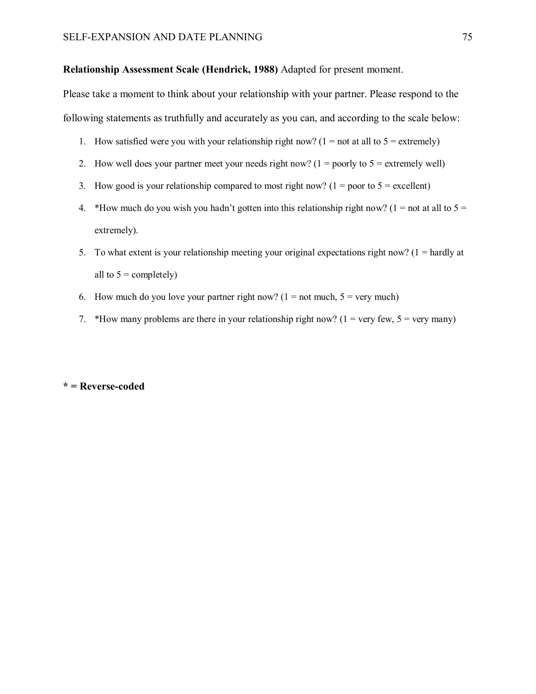#### **Relationship Assessment Scale (Hendrick, 1988)** Adapted for present moment.

Please take a moment to think about your relationship with your partner. Please respond to the following statements as truthfully and accurately as you can, and according to the scale below:

- 1. How satisfied were you with your relationship right now? (1 = not at all to  $5 =$  extremely)
- 2. How well does your partner meet your needs right now?  $(1 = \text{poorly to } 5 = \text{extremely well})$
- 3. How good is your relationship compared to most right now? ( $1 =$  poor to  $5 =$  excellent)
- 4. \*How much do you wish you hadn't gotten into this relationship right now? (1 = not at all to  $5 =$ extremely).
- 5. To what extent is your relationship meeting your original expectations right now?  $(1 = \text{hardly at})$ all to  $5 =$  completely)
- 6. How much do you love your partner right now? ( $1 =$  not much,  $5 =$  very much)
- 7. \*How many problems are there in your relationship right now? ( $1 = \text{very few}, 5 = \text{very many}$ )

#### **\* = Reverse-coded**